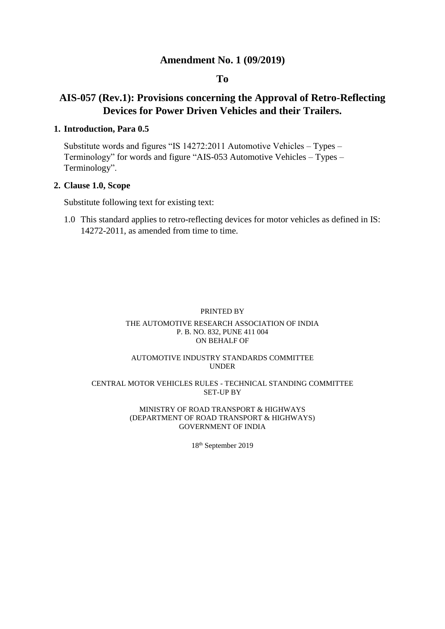# **Amendment No. 1 (09/2019)**

# **To**

# **AIS-057 (Rev.1): Provisions concerning the Approval of Retro-Reflecting Devices for Power Driven Vehicles and their Trailers.**

## **1. Introduction, Para 0.5**

Substitute words and figures "IS 14272:2011 Automotive Vehicles – Types – Terminology" for words and figure "AIS-053 Automotive Vehicles – Types – Terminology".

## **2. Clause 1.0, Scope**

Substitute following text for existing text:

1.0 This standard applies to retro-reflecting devices for motor vehicles as defined in IS: 14272-2011, as amended from time to time.

#### PRINTED BY

#### THE AUTOMOTIVE RESEARCH ASSOCIATION OF INDIA P. B. NO. 832, PUNE 411 004 ON BEHALF OF

#### AUTOMOTIVE INDUSTRY STANDARDS COMMITTEE UNDER

#### CENTRAL MOTOR VEHICLES RULES - TECHNICAL STANDING COMMITTEE SET-UP BY

#### MINISTRY OF ROAD TRANSPORT & HIGHWAYS (DEPARTMENT OF ROAD TRANSPORT & HIGHWAYS) GOVERNMENT OF INDIA

18th September 2019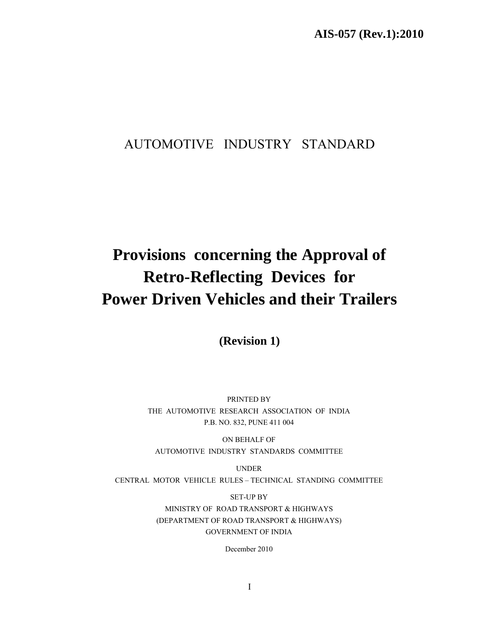# AUTOMOTIVE INDUSTRY STANDARD

# **Provisions concerning the Approval of Retro-Reflecting Devices for Power Driven Vehicles and their Trailers**

**(Revision 1)** 

PRINTED BY THE AUTOMOTIVE RESEARCH ASSOCIATION OF INDIA P.B. NO. 832, PUNE 411 004

ON BEHALF OF AUTOMOTIVE INDUSTRY STANDARDS COMMITTEE

UNDER CENTRAL MOTOR VEHICLE RULES – TECHNICAL STANDING COMMITTEE

> SET-UP BY MINISTRY OF ROAD TRANSPORT & HIGHWAYS (DEPARTMENT OF ROAD TRANSPORT & HIGHWAYS) GOVERNMENT OF INDIA

> > December 2010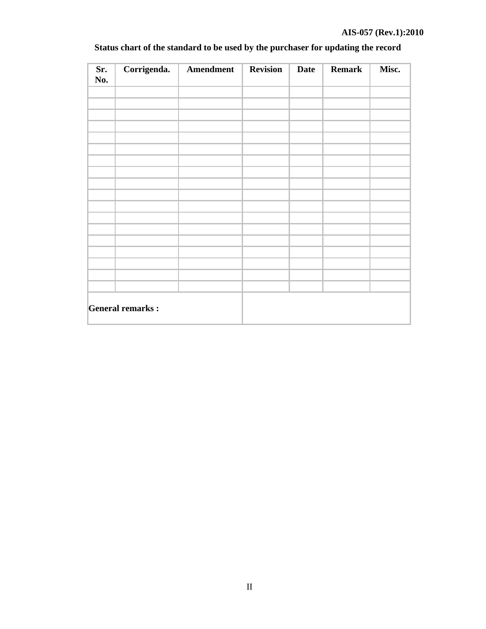| Sr.<br>No. |                         | Corrigenda.   Amendment | <b>Revision</b> | <b>Date</b> | <b>Remark</b> | Misc. |
|------------|-------------------------|-------------------------|-----------------|-------------|---------------|-------|
|            |                         |                         |                 |             |               |       |
|            |                         |                         |                 |             |               |       |
|            |                         |                         |                 |             |               |       |
|            |                         |                         |                 |             |               |       |
|            |                         |                         |                 |             |               |       |
|            |                         |                         |                 |             |               |       |
|            |                         |                         |                 |             |               |       |
|            |                         |                         |                 |             |               |       |
|            |                         |                         |                 |             |               |       |
|            |                         |                         |                 |             |               |       |
|            |                         |                         |                 |             |               |       |
|            |                         |                         |                 |             |               |       |
|            |                         |                         |                 |             |               |       |
|            |                         |                         |                 |             |               |       |
|            |                         |                         |                 |             |               |       |
|            |                         |                         |                 |             |               |       |
|            |                         |                         |                 |             |               |       |
|            | <b>General remarks:</b> |                         |                 |             |               |       |

# **Status chart of the standard to be used by the purchaser for updating the record**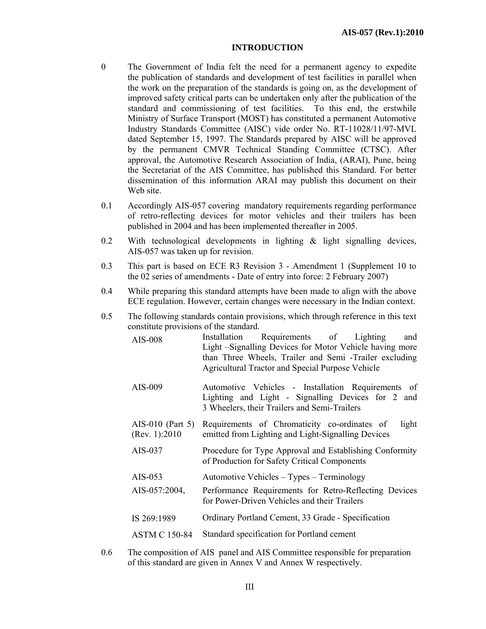#### **INTRODUCTION**

- 0 The Government of India felt the need for a permanent agency to expedite the publication of standards and development of test facilities in parallel when the work on the preparation of the standards is going on, as the development of improved safety critical parts can be undertaken only after the publication of the standard and commissioning of test facilities. To this end, the erstwhile Ministry of Surface Transport (MOST) has constituted a permanent Automotive Industry Standards Committee (AISC) vide order No. RT-11028/11/97-MVL dated September 15, 1997. The Standards prepared by AISC will be approved by the permanent CMVR Technical Standing Committee (CTSC). After approval, the Automotive Research Association of India, (ARAI), Pune, being the Secretariat of the AIS Committee, has published this Standard. For better dissemination of this information ARAI may publish this document on their Web site.
- 0.1 Accordingly AIS-057 covering mandatory requirements regarding performance of retro-reflecting devices for motor vehicles and their trailers has been published in 2004 and has been implemented thereafter in 2005.
- 0.2 With technological developments in lighting  $\&$  light signalling devices, AIS-057 was taken up for revision.
- 0.3 This part is based on ECE R3 Revision 3 Amendment 1 (Supplement 10 to the 02 series of amendments - Date of entry into force: 2 February 2007)
- 0.4 While preparing this standard attempts have been made to align with the above ECE regulation. However, certain changes were necessary in the Indian context.
- 0.5 The following standards contain provisions, which through reference in this text constitute provisions of the standard.

| AIS-008                            | Installation Requirements of Lighting<br>and<br>Light – Signalling Devices for Motor Vehicle having more<br>than Three Wheels, Trailer and Semi -Trailer excluding<br>Agricultural Tractor and Special Purpose Vehicle |
|------------------------------------|------------------------------------------------------------------------------------------------------------------------------------------------------------------------------------------------------------------------|
| AIS-009                            | Automotive Vehicles - Installation Requirements of<br>Lighting and Light - Signalling Devices for 2 and<br>3 Wheelers, their Trailers and Semi-Trailers                                                                |
| AIS-010 (Part 5)<br>(Rev. 1): 2010 | Requirements of Chromaticity co-ordinates of<br>light<br>emitted from Lighting and Light-Signalling Devices                                                                                                            |
| AIS-037                            | Procedure for Type Approval and Establishing Conformity<br>of Production for Safety Critical Components                                                                                                                |
| AIS-053                            | Automotive Vehicles – Types – Terminology                                                                                                                                                                              |
| AIS-057:2004,                      | Performance Requirements for Retro-Reflecting Devices<br>for Power-Driven Vehicles and their Trailers                                                                                                                  |
| IS 269:1989                        | Ordinary Portland Cement, 33 Grade - Specification                                                                                                                                                                     |
| <b>ASTM C 150-84</b>               | Standard specification for Portland cement                                                                                                                                                                             |
|                                    |                                                                                                                                                                                                                        |

0.6 The composition of AIS panel and AIS Committee responsible for preparation of this standard are given in Annex V and Annex W respectively.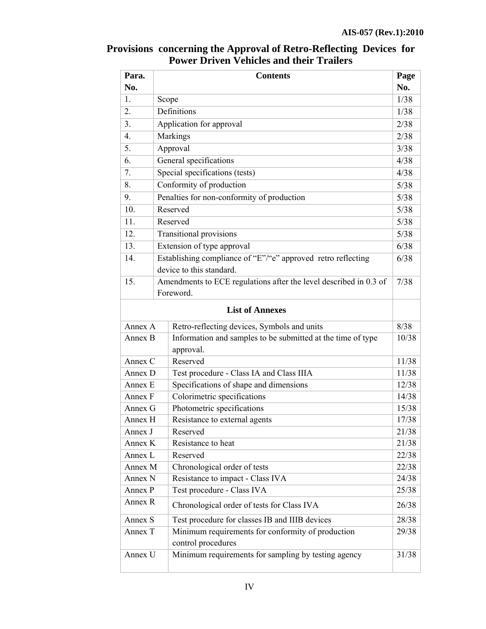# **Para. No. Contents Page No.**  1. Scope  $1/38$ 2.  $\left| \right|$  Definitions  $\left| \right|$  1/38 3. Application for approval  $2/38$ 4. Markings 2/38  $\frac{1}{3/38}$  Approval 6. General specifications 4/38 7. Special specifications (tests) 4/38 8. Conformity of production 5/38 9. Penalties for non-conformity of production 5/38 10. Reserved  $5/38$ 11. Reserved 5/38 12. Transitional provisions 5/38 13. Extension of type approval 6/38 14. Establishing compliance of "E"/"e" approved retro reflecting device to this standard. 6/38 15. Amendments to ECE regulations after the level described in 0.3 of Foreword. 7/38 **List of Annexes**  Annex A Retro-reflecting devices, Symbols and units 8/38 Annex B Information and samples to be submitted at the time of type approval. 10/38 Annex C Reserved 11/38 Annex D Test procedure - Class IA and Class IIIA 11/38 Annex E Specifications of shape and dimensions 12/38 Annex F Colorimetric specifications 14/38 Annex G Photometric specifications 15/38 Annex H Resistance to external agents 17/38 Annex J Reserved 21/38 Annex K Resistance to heat 21/38 Annex L Reserved 22/38 Annex M Chronological order of tests 22/38 Annex N Resistance to impact - Class IVA 24/38 Annex P Test procedure - Class IVA 25/38 Annex R Chronological order of tests for Class IVA  $26/38$ Annex S Test procedure for classes IB and IIIB devices 28/38 Annex T | Minimum requirements for conformity of production control procedures 29/38 Annex U Minimum requirements for sampling by testing agency 31/38

# **Provisions concerning the Approval of Retro-Reflecting Devices for Power Driven Vehicles and their Trailers**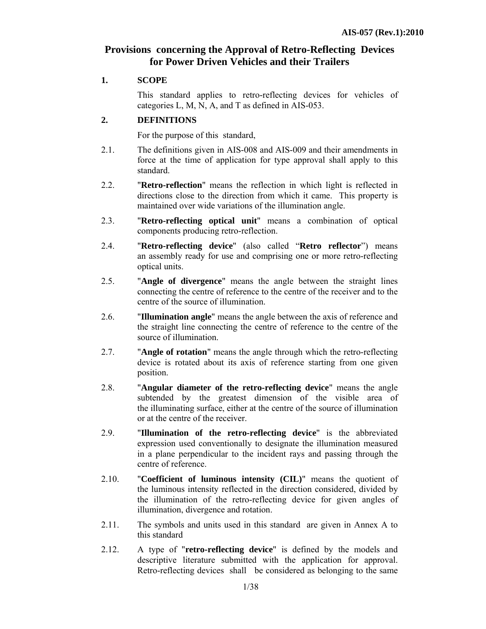# **Provisions concerning the Approval of Retro-Reflecting Devices for Power Driven Vehicles and their Trailers**

#### **1. SCOPE**

This standard applies to retro-reflecting devices for vehicles of categories L, M, N, A, and T as defined in AIS-053.

#### **2. DEFINITIONS**

For the purpose of this standard,

- 2.1. The definitions given in AIS-008 and AIS-009 and their amendments in force at the time of application for type approval shall apply to this standard.
- 2.2. "**Retro-reflection**" means the reflection in which light is reflected in directions close to the direction from which it came. This property is maintained over wide variations of the illumination angle.
- 2.3. "**Retro-reflecting optical unit**" means a combination of optical components producing retro-reflection.
- 2.4. "**Retro-reflecting device**" (also called "**Retro reflector**") means an assembly ready for use and comprising one or more retro-reflecting optical units.
- 2.5. "**Angle of divergence**" means the angle between the straight lines connecting the centre of reference to the centre of the receiver and to the centre of the source of illumination.
- 2.6. "**Illumination angle**" means the angle between the axis of reference and the straight line connecting the centre of reference to the centre of the source of illumination.
- 2.7. "**Angle of rotation**" means the angle through which the retro-reflecting device is rotated about its axis of reference starting from one given position.
- 2.8. "**Angular diameter of the retro-reflecting device**" means the angle subtended by the greatest dimension of the visible area of the illuminating surface, either at the centre of the source of illumination or at the centre of the receiver.
- 2.9. "**Illumination of the retro-reflecting device**" is the abbreviated expression used conventionally to designate the illumination measured in a plane perpendicular to the incident rays and passing through the centre of reference.
- 2.10. "**Coefficient of luminous intensity (CIL)**" means the quotient of the luminous intensity reflected in the direction considered, divided by the illumination of the retro-reflecting device for given angles of illumination, divergence and rotation.
- 2.11. The symbols and units used in this standard are given in Annex A to this standard
- 2.12. A type of "**retro-reflecting device**" is defined by the models and descriptive literature submitted with the application for approval. Retro-reflecting devices shall be considered as belonging to the same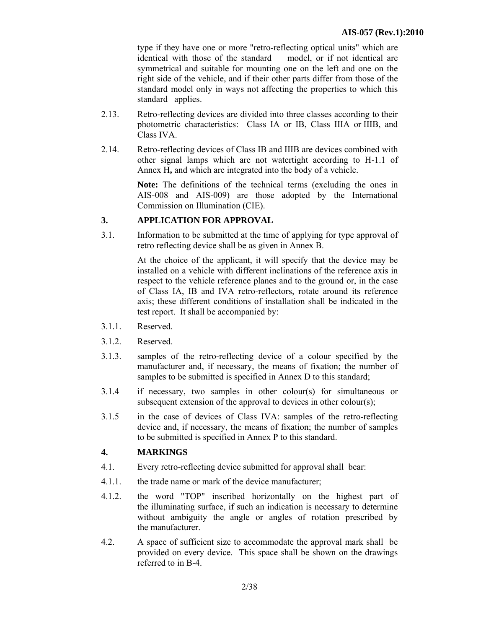type if they have one or more "retro-reflecting optical units" which are identical with those of the standard model, or if not identical are symmetrical and suitable for mounting one on the left and one on the right side of the vehicle, and if their other parts differ from those of the standard model only in ways not affecting the properties to which this standard applies.

- 2.13. Retro-reflecting devices are divided into three classes according to their photometric characteristics: Class IA or IB, Class IIIA or IIIB, and Class IVA.
- 2.14. Retro-reflecting devices of Class IB and IIIB are devices combined with other signal lamps which are not watertight according to H-1.1 of Annex H**,** and which are integrated into the body of a vehicle.

**Note:** The definitions of the technical terms (excluding the ones in AIS-008 and AIS-009) are those adopted by the International Commission on Illumination (CIE).

# **3. APPLICATION FOR APPROVAL**

3.1. Information to be submitted at the time of applying for type approval of retro reflecting device shall be as given in Annex B.

> At the choice of the applicant, it will specify that the device may be installed on a vehicle with different inclinations of the reference axis in respect to the vehicle reference planes and to the ground or, in the case of Class IA, IB and IVA retro-reflectors, rotate around its reference axis; these different conditions of installation shall be indicated in the test report. It shall be accompanied by:

- 3.1.1. Reserved.
- 3.1.2. Reserved.
- 3.1.3. samples of the retro-reflecting device of a colour specified by the manufacturer and, if necessary, the means of fixation; the number of samples to be submitted is specified in Annex D to this standard;
- 3.1.4 if necessary, two samples in other colour(s) for simultaneous or subsequent extension of the approval to devices in other colour(s);
- 3.1.5 in the case of devices of Class IVA: samples of the retro-reflecting device and, if necessary, the means of fixation; the number of samples to be submitted is specified in Annex P to this standard.

## **4. MARKINGS**

- 4.1. Every retro-reflecting device submitted for approval shall bear:
- 4.1.1. the trade name or mark of the device manufacturer;
- 4.1.2. the word "TOP" inscribed horizontally on the highest part of the illuminating surface, if such an indication is necessary to determine without ambiguity the angle or angles of rotation prescribed by the manufacturer.
- 4.2. A space of sufficient size to accommodate the approval mark shall be provided on every device. This space shall be shown on the drawings referred to in B-4.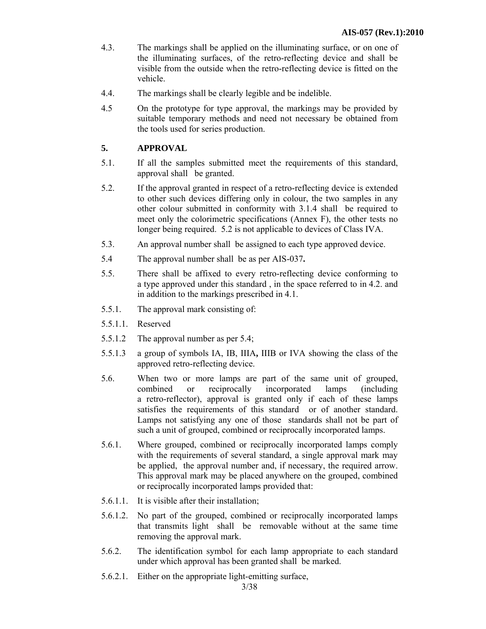- 4.3. The markings shall be applied on the illuminating surface, or on one of the illuminating surfaces, of the retro-reflecting device and shall be visible from the outside when the retro-reflecting device is fitted on the vehicle.
- 4.4. The markings shall be clearly legible and be indelible.
- 4.5 On the prototype for type approval, the markings may be provided by suitable temporary methods and need not necessary be obtained from the tools used for series production.

## **5. APPROVAL**

- 5.1. If all the samples submitted meet the requirements of this standard, approval shall be granted.
- 5.2. If the approval granted in respect of a retro-reflecting device is extended to other such devices differing only in colour, the two samples in any other colour submitted in conformity with 3.1.4 shall be required to meet only the colorimetric specifications (Annex F), the other tests no longer being required. 5.2 is not applicable to devices of Class IVA.
- 5.3. An approval number shall be assigned to each type approved device.
- 5.4 The approval number shall be as per AIS-037**.**
- 5.5. There shall be affixed to every retro-reflecting device conforming to a type approved under this standard , in the space referred to in 4.2. and in addition to the markings prescribed in 4.1.
- 5.5.1. The approval mark consisting of:
- 5.5.1.1. Reserved
- 5.5.1.2 The approval number as per 5.4;
- 5.5.1.3 a group of symbols IA, IB, IIIA**,** IIIB or IVA showing the class of the approved retro-reflecting device.
- 5.6. When two or more lamps are part of the same unit of grouped, combined or reciprocally incorporated lamps (including a retro-reflector), approval is granted only if each of these lamps satisfies the requirements of this standard or of another standard. Lamps not satisfying any one of those standards shall not be part of such a unit of grouped, combined or reciprocally incorporated lamps.
- 5.6.1. Where grouped, combined or reciprocally incorporated lamps comply with the requirements of several standard, a single approval mark may be applied, the approval number and, if necessary, the required arrow. This approval mark may be placed anywhere on the grouped, combined or reciprocally incorporated lamps provided that:
- 5.6.1.1. It is visible after their installation;
- 5.6.1.2. No part of the grouped, combined or reciprocally incorporated lamps that transmits light shall be removable without at the same time removing the approval mark.
- 5.6.2. The identification symbol for each lamp appropriate to each standard under which approval has been granted shall be marked.
- 5.6.2.1. Either on the appropriate light-emitting surface,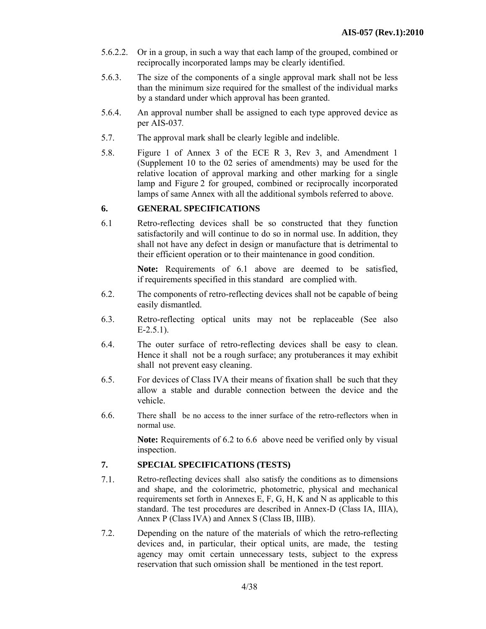- 5.6.2.2. Or in a group, in such a way that each lamp of the grouped, combined or reciprocally incorporated lamps may be clearly identified.
- 5.6.3. The size of the components of a single approval mark shall not be less than the minimum size required for the smallest of the individual marks by a standard under which approval has been granted.
- 5.6.4. An approval number shall be assigned to each type approved device as per AIS-037*.*
- 5.7. The approval mark shall be clearly legible and indelible.
- 5.8. Figure 1 of Annex 3 of the ECE R 3, Rev 3, and Amendment 1 (Supplement 10 to the 02 series of amendments) may be used for the relative location of approval marking and other marking for a single lamp and Figure 2 for grouped, combined or reciprocally incorporated lamps of same Annex with all the additional symbols referred to above.

#### **6. GENERAL SPECIFICATIONS**

6.1 Retro-reflecting devices shall be so constructed that they function satisfactorily and will continue to do so in normal use. In addition, they shall not have any defect in design or manufacture that is detrimental to their efficient operation or to their maintenance in good condition.

> **Note:** Requirements of 6.1 above are deemed to be satisfied, if requirements specified in this standard are complied with.

- 6.2. The components of retro-reflecting devices shall not be capable of being easily dismantled.
- 6.3. Retro-reflecting optical units may not be replaceable (See also  $E-2.5.1$ ).
- 6.4. The outer surface of retro-reflecting devices shall be easy to clean. Hence it shall not be a rough surface; any protuberances it may exhibit shall not prevent easy cleaning.
- 6.5. For devices of Class IVA their means of fixation shall be such that they allow a stable and durable connection between the device and the vehicle.
- 6.6. There shall be no access to the inner surface of the retro-reflectors when in normal use.

**Note:** Requirements of 6.2 to 6.6 above need be verified only by visual inspection.

# **7. SPECIAL SPECIFICATIONS (TESTS)**

- 7.1. Retro-reflecting devices shall also satisfy the conditions as to dimensions and shape, and the colorimetric, photometric, physical and mechanical requirements set forth in Annexes E, F, G, H, K and N as applicable to this standard. The test procedures are described in Annex-D (Class IA, IIIA), Annex P (Class IVA) and Annex S (Class IB, IIIB).
- 7.2. Depending on the nature of the materials of which the retro-reflecting devices and, in particular, their optical units, are made, the testing agency may omit certain unnecessary tests, subject to the express reservation that such omission shall be mentioned in the test report.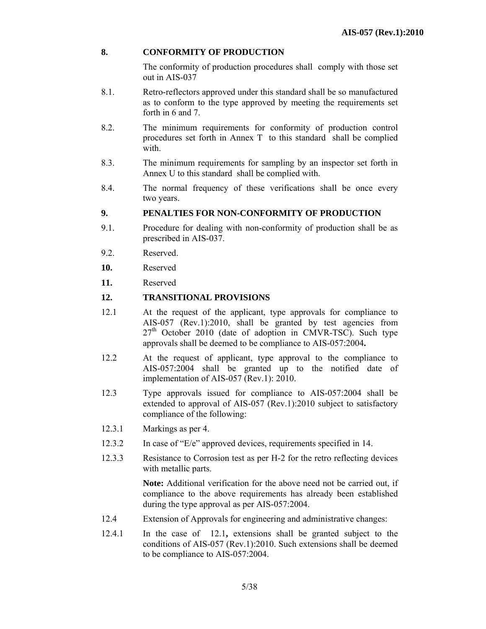# **8. CONFORMITY OF PRODUCTION**

The conformity of production procedures shall comply with those set out in AIS-037

- 8.1. Retro-reflectors approved under this standard shall be so manufactured as to conform to the type approved by meeting the requirements set forth in 6 and 7.
- 8.2. The minimum requirements for conformity of production control procedures set forth in Annex Tto this standard shall be complied with.
- 8.3. The minimum requirements for sampling by an inspector set forth in Annex U to this standard shall be complied with.
- 8.4. The normal frequency of these verifications shall be once every two years.

#### **9. PENALTIES FOR NON-CONFORMITY OF PRODUCTION**

- 9.1. Procedure for dealing with non-conformity of production shall be as prescribed in AIS-037.
- 9.2. Reserved.
- **10.** Reserved
- **11.** Reserved

#### **12. TRANSITIONAL PROVISIONS**

- 12.1 At the request of the applicant, type approvals for compliance to AIS-057 (Rev.1):2010, shall be granted by test agencies from  $27<sup>th</sup>$  October 2010 (date of adoption in CMVR-TSC). Such type approvals shall be deemed to be compliance to AIS-057:2004**.**
- 12.2 At the request of applicant, type approval to the compliance to AIS-057:2004 shall be granted up to the notified date of implementation of AIS-057 (Rev.1): 2010.
- 12.3 Type approvals issued for compliance to AIS-057:2004 shall be extended to approval of AIS-057 (Rev.1):2010 subject to satisfactory compliance of the following:
- 12.3.1 Markings as per 4.
- 12.3.2 In case of "E/e" approved devices, requirements specified in 14.
- 12.3.3 Resistance to Corrosion test as per H-2 for the retro reflecting devices with metallic parts.

**Note:** Additional verification for the above need not be carried out, if compliance to the above requirements has already been established during the type approval as per AIS-057:2004.

- 12.4 Extension of Approvals for engineering and administrative changes:
- 12.4.1 In the case of 12.1**,** extensions shall be granted subject to the conditions of AIS-057 (Rev.1):2010. Such extensions shall be deemed to be compliance to AIS-057:2004.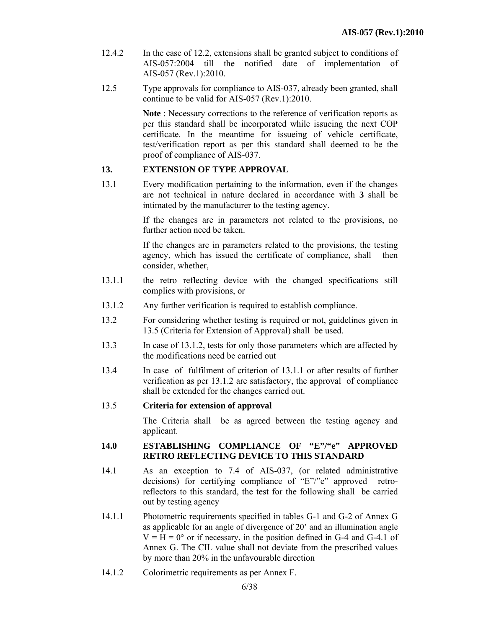- 12.4.2 In the case of 12.2, extensions shall be granted subject to conditions of AIS-057:2004 till the notified date of implementation of AIS-057 (Rev.1):2010.
- 12.5 Type approvals for compliance to AIS-037, already been granted, shall continue to be valid for AIS-057 (Rev.1):2010.

**Note** : Necessary corrections to the reference of verification reports as per this standard shall be incorporated while issueing the next COP certificate. In the meantime for issueing of vehicle certificate, test/verification report as per this standard shall deemed to be the proof of compliance of AIS-037.

## **13. EXTENSION OF TYPE APPROVAL**

13.1 Every modification pertaining to the information, even if the changes are not technical in nature declared in accordance with **3** shall be intimated by the manufacturer to the testing agency.

> If the changes are in parameters not related to the provisions, no further action need be taken.

> If the changes are in parameters related to the provisions, the testing agency, which has issued the certificate of compliance, shall then consider, whether,

- 13.1.1 the retro reflecting device with the changed specifications still complies with provisions, or
- 13.1.2 Any further verification is required to establish compliance.
- 13.2 For considering whether testing is required or not, guidelines given in 13.5 (Criteria for Extension of Approval) shall be used.
- 13.3 In case of 13.1.2, tests for only those parameters which are affected by the modifications need be carried out
- 13.4 In case of fulfilment of criterion of 13.1.1 or after results of further verification as per 13.1.2 are satisfactory, the approval of compliance shall be extended for the changes carried out.

#### 13.5 **Criteria for extension of approval**

 The Criteria shall be as agreed between the testing agency and applicant.

#### **14.0 ESTABLISHING COMPLIANCE OF "E"/"e" APPROVED RETRO REFLECTING DEVICE TO THIS STANDARD**

- 14.1 As an exception to 7.4 of AIS-037, (or related administrative decisions) for certifying compliance of "E"/"e" approved retroreflectors to this standard, the test for the following shall be carried out by testing agency
- 14.1.1 Photometric requirements specified in tables G-1 and G-2 of Annex G as applicable for an angle of divergence of 20' and an illumination angle  $V = H = 0^{\circ}$  or if necessary, in the position defined in G-4 and G-4.1 of Annex G. The CIL value shall not deviate from the prescribed values by more than 20% in the unfavourable direction
- 14.1.2 Colorimetric requirements as per Annex F.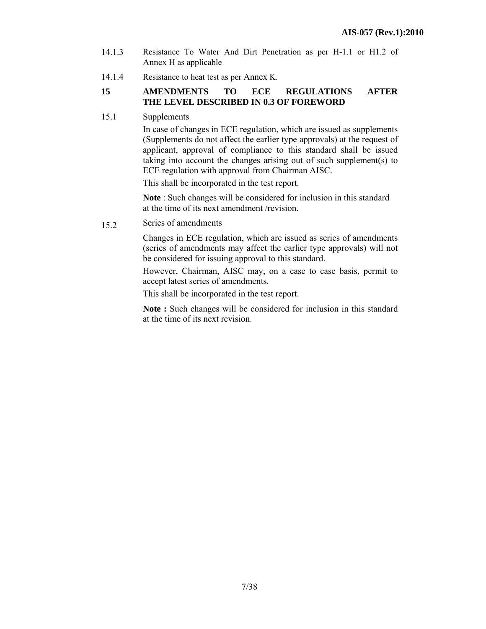- 14.1.3 Resistance To Water And Dirt Penetration as per H-1.1 or H1.2 of Annex H as applicable
- 14.1.4 Resistance to heat test as per Annex K.

## **15 AMENDMENTS TO ECE REGULATIONS AFTER THE LEVEL DESCRIBED IN 0.3 OF FOREWORD**

15.1 Supplements

In case of changes in ECE regulation, which are issued as supplements (Supplements do not affect the earlier type approvals) at the request of applicant, approval of compliance to this standard shall be issued taking into account the changes arising out of such supplement(s) to ECE regulation with approval from Chairman AISC.

This shall be incorporated in the test report.

**Note** : Such changes will be considered for inclusion in this standard at the time of its next amendment /revision.

15.2 Series of amendments

Changes in ECE regulation, which are issued as series of amendments (series of amendments may affect the earlier type approvals) will not be considered for issuing approval to this standard.

However, Chairman, AISC may, on a case to case basis, permit to accept latest series of amendments.

This shall be incorporated in the test report.

**Note :** Such changes will be considered for inclusion in this standard at the time of its next revision.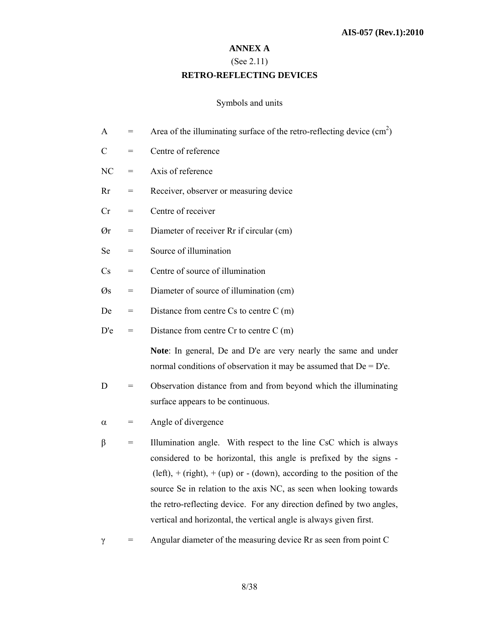#### **ANNEX A**

# (See 2.11)

# **RETRO-REFLECTING DEVICES**

# Symbols and units

| $=$ | Area of the illuminating surface of the retro-reflecting device $(cm2)$                                                                                                                                                                                                                                                                                                                                                                    |
|-----|--------------------------------------------------------------------------------------------------------------------------------------------------------------------------------------------------------------------------------------------------------------------------------------------------------------------------------------------------------------------------------------------------------------------------------------------|
| $=$ | Centre of reference                                                                                                                                                                                                                                                                                                                                                                                                                        |
| $=$ | Axis of reference                                                                                                                                                                                                                                                                                                                                                                                                                          |
| $=$ | Receiver, observer or measuring device                                                                                                                                                                                                                                                                                                                                                                                                     |
| $=$ | Centre of receiver                                                                                                                                                                                                                                                                                                                                                                                                                         |
| $=$ | Diameter of receiver Rr if circular (cm)                                                                                                                                                                                                                                                                                                                                                                                                   |
| $=$ | Source of illumination                                                                                                                                                                                                                                                                                                                                                                                                                     |
| $=$ | Centre of source of illumination                                                                                                                                                                                                                                                                                                                                                                                                           |
| $=$ | Diameter of source of illumination (cm)                                                                                                                                                                                                                                                                                                                                                                                                    |
| $=$ | Distance from centre $Cs$ to centre $C$ (m)                                                                                                                                                                                                                                                                                                                                                                                                |
| $=$ | Distance from centre $Cr$ to centre $C$ (m)                                                                                                                                                                                                                                                                                                                                                                                                |
|     | Note: In general, De and D'e are very nearly the same and under<br>normal conditions of observation it may be assumed that $De = D'e$ .                                                                                                                                                                                                                                                                                                    |
| $=$ | Observation distance from and from beyond which the illuminating<br>surface appears to be continuous.                                                                                                                                                                                                                                                                                                                                      |
| $=$ | Angle of divergence                                                                                                                                                                                                                                                                                                                                                                                                                        |
| $=$ | Illumination angle. With respect to the line CsC which is always<br>considered to be horizontal, this angle is prefixed by the signs -<br>$(left), + (right), + (up)$ or $- (down),$ according to the position of the<br>source Se in relation to the axis NC, as seen when looking towards<br>the retro-reflecting device. For any direction defined by two angles,<br>vertical and horizontal, the vertical angle is always given first. |
|     |                                                                                                                                                                                                                                                                                                                                                                                                                                            |

γ = Angular diameter of the measuring device Rr as seen from point C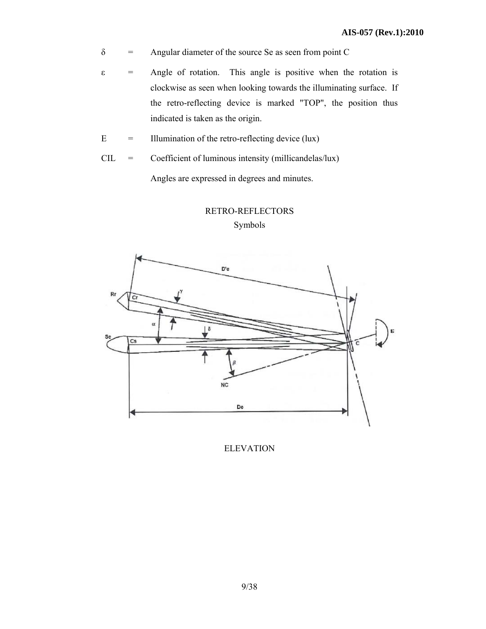- $\delta$  = Angular diameter of the source Se as seen from point C
- $\epsilon$  = Angle of rotation. This angle is positive when the rotation is clockwise as seen when looking towards the illuminating surface. If the retro-reflecting device is marked "TOP", the position thus indicated is taken as the origin.
- $E =$  Illumination of the retro-reflecting device (lux)
- CIL = Coefficient of luminous intensity (millicandelas/lux) Angles are expressed in degrees and minutes.



# RETRO-REFLECTORS

Symbols

ELEVATION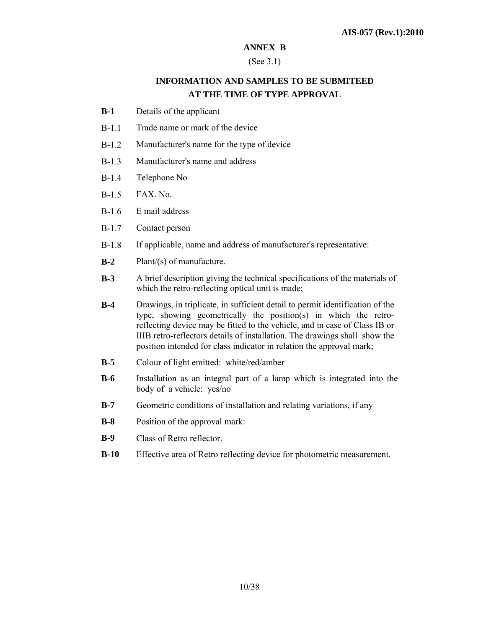#### **ANNEX B**

#### (See 3.1)

# **INFORMATION AND SAMPLES TO BE SUBMITEED AT THE TIME OF TYPE APPROVAL**

- **B-1** Details of the applicant
- B-1.1 Trade name or mark of the device
- B-1.2 Manufacturer's name for the type of device
- B-1.3 Manufacturer's name and address
- B-1.4 Telephone No
- B-1.5 FAX. No.
- B-1.6 E mail address
- B-1.7 Contact person
- B-1.8 If applicable, name and address of manufacturer's representative:
- **B-2** Plant/(s) of manufacture.
- **B-3** A brief description giving the technical specifications of the materials of which the retro-reflecting optical unit is made;
- **B-4** Drawings, in triplicate, in sufficient detail to permit identification of the type, showing geometrically the position(s) in which the retroreflecting device may be fitted to the vehicle, and in case of Class IB or IIIB retro-reflectors details of installation. The drawings shall show the position intended for class indicator in relation the approval mark;
- **B-5** Colour of light emitted: white/red/amber
- **B-6** Installation as an integral part of a lamp which is integrated into the body of a vehicle: yes/no
- **B-7** Geometric conditions of installation and relating variations, if any
- **B-8** Position of the approval mark:
- **B-9** Class of Retro reflector.
- **B-10** Effective area of Retro reflecting device for photometric measurement.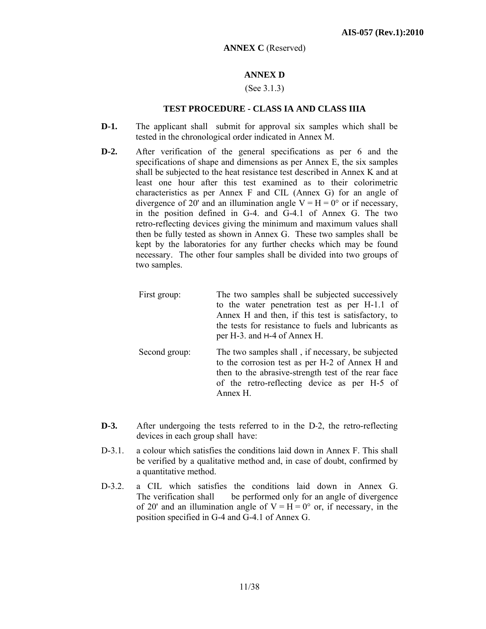#### **ANNEX C** (Reserved)

## **ANNEX D**

#### (See 3.1.3)

#### **TEST PROCEDURE - CLASS IA AND CLASS IIIA**

- **D-1.** The applicant shall submit for approval six samples which shall be tested in the chronological order indicated in Annex M.
- **D-2.** After verification of the general specifications as per 6 and the specifications of shape and dimensions as per Annex E, the six samples shall be subjected to the heat resistance test described in Annex K and at least one hour after this test examined as to their colorimetric characteristics as per Annex F and CIL (Annex G) for an angle of divergence of 20' and an illumination angle  $V = H = 0^{\circ}$  or if necessary, in the position defined in G-4. and G-4.1 of Annex G. The two retro-reflecting devices giving the minimum and maximum values shall then be fully tested as shown in Annex G. These two samples shall be kept by the laboratories for any further checks which may be found necessary. The other four samples shall be divided into two groups of two samples.
	- First group: The two samples shall be subjected successively to the water penetration test as per H-1.1 of Annex H and then, if this test is satisfactory, to the tests for resistance to fuels and lubricants as per H-3. and H-4 of Annex H. Second group: The two samples shall , if necessary, be subjected to the corrosion test as per H-2 of Annex H and then to the abrasive-strength test of the rear face of the retro-reflecting device as per H-5 of Annex H.
- **D-3.** After undergoing the tests referred to in the D-2, the retro-reflecting devices in each group shall have:
- D-3.1. a colour which satisfies the conditions laid down in Annex F. This shall be verified by a qualitative method and, in case of doubt, confirmed by a quantitative method.
- D-3.2. a CIL which satisfies the conditions laid down in Annex G. The verification shall be performed only for an angle of divergence of 20' and an illumination angle of  $V = H = 0^{\circ}$  or, if necessary, in the position specified in G-4 and G-4.1 of Annex G.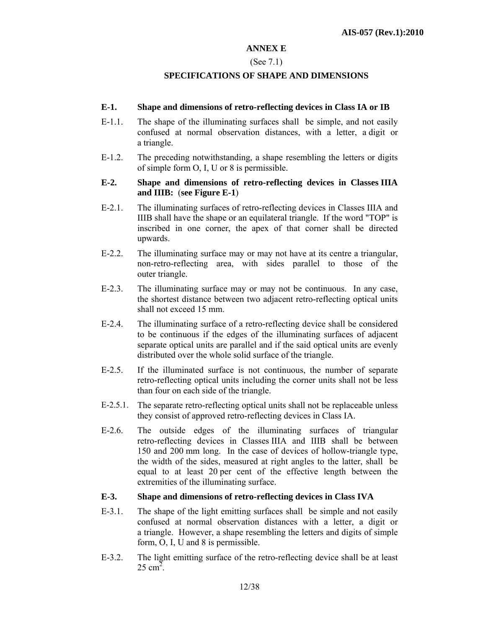#### **ANNEX E**

#### (See 7.1)

#### **SPECIFICATIONS OF SHAPE AND DIMENSIONS**

#### **E-1. Shape and dimensions of retro-reflecting devices in Class IA or IB**

- E-1.1. The shape of the illuminating surfaces shall be simple, and not easily confused at normal observation distances, with a letter, a digit or a triangle.
- E-1.2. The preceding notwithstanding, a shape resembling the letters or digits of simple form O, I, U or 8 is permissible.

#### **E-2. Shape and dimensions of retro-reflecting devices in Classes IIIA and IIIB:** (**see Figure E-1**)

- E-2.1. The illuminating surfaces of retro-reflecting devices in Classes IIIA and IIIB shall have the shape or an equilateral triangle. If the word "TOP" is inscribed in one corner, the apex of that corner shall be directed upwards.
- E-2.2. The illuminating surface may or may not have at its centre a triangular, non-retro-reflecting area, with sides parallel to those of the outer triangle.
- E-2.3. The illuminating surface may or may not be continuous. In any case, the shortest distance between two adjacent retro-reflecting optical units shall not exceed 15 mm.
- E-2.4. The illuminating surface of a retro-reflecting device shall be considered to be continuous if the edges of the illuminating surfaces of adjacent separate optical units are parallel and if the said optical units are evenly distributed over the whole solid surface of the triangle.
- E-2.5. If the illuminated surface is not continuous, the number of separate retro-reflecting optical units including the corner units shall not be less than four on each side of the triangle.
- E-2.5.1. The separate retro-reflecting optical units shall not be replaceable unless they consist of approved retro-reflecting devices in Class IA.
- E-2.6. The outside edges of the illuminating surfaces of triangular retro-reflecting devices in Classes IIIA and IIIB shall be between 150 and 200 mm long. In the case of devices of hollow-triangle type, the width of the sides, measured at right angles to the latter, shall be equal to at least 20 per cent of the effective length between the extremities of the illuminating surface.

#### **E-3. Shape and dimensions of retro-reflecting devices in Class IVA**

- E-3.1. The shape of the light emitting surfaces shall be simple and not easily confused at normal observation distances with a letter, a digit or a triangle. However, a shape resembling the letters and digits of simple form, O, I, U and 8 is permissible.
- E-3.2. The light emitting surface of the retro-reflecting device shall be at least  $25 \text{ cm}^2$ .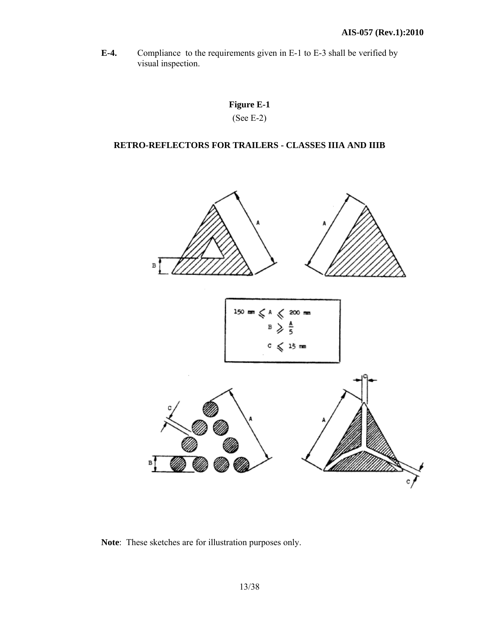**E-4.** Compliance to the requirements given in E-1 to E-3 shall be verified by visual inspection.

# **Figure E-1**  (See E-2)

# **RETRO-REFLECTORS FOR TRAILERS - CLASSES IIIA AND IIIB**



**Note**: These sketches are for illustration purposes only.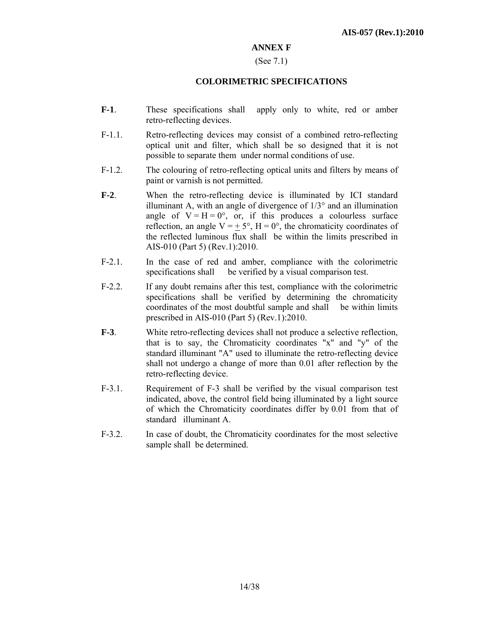#### **ANNEX F**

#### (See 7.1)

#### **COLORIMETRIC SPECIFICATIONS**

- **F-1**. These specifications shall apply only to white, red or amber retro-reflecting devices.
- F-1.1. Retro-reflecting devices may consist of a combined retro-reflecting optical unit and filter, which shall be so designed that it is not possible to separate them under normal conditions of use.
- F-1.2. The colouring of retro-reflecting optical units and filters by means of paint or varnish is not permitted.
- **F-2**. When the retro-reflecting device is illuminated by ICI standard illuminant A, with an angle of divergence of  $1/3^{\circ}$  and an illumination angle of  $V = H = 0^\circ$ , or, if this produces a colourless surface reflection, an angle  $V = \pm 5^{\circ}$ ,  $H = 0^{\circ}$ , the chromaticity coordinates of the reflected luminous flux shall be within the limits prescribed in AIS-010 (Part 5) (Rev.1):2010.
- F-2.1. In the case of red and amber, compliance with the colorimetric specifications shall be verified by a visual comparison test.
- F-2.2. If any doubt remains after this test, compliance with the colorimetric specifications shall be verified by determining the chromaticity coordinates of the most doubtful sample and shall be within limits prescribed in AIS-010 (Part 5) (Rev.1):2010.
- **F-3**. White retro-reflecting devices shall not produce a selective reflection, that is to say, the Chromaticity coordinates "x" and "y" of the standard illuminant "A" used to illuminate the retro-reflecting device shall not undergo a change of more than 0.01 after reflection by the retro-reflecting device.
- F-3.1. Requirement of F-3 shall be verified by the visual comparison test indicated, above, the control field being illuminated by a light source of which the Chromaticity coordinates differ by 0.01 from that of standard illuminant A.
- F-3.2. In case of doubt, the Chromaticity coordinates for the most selective sample shall be determined.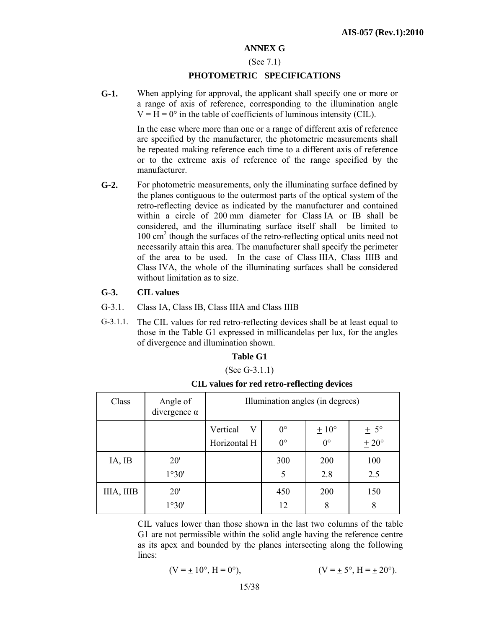#### **ANNEX G**

#### (See 7.1)

#### **PHOTOMETRIC SPECIFICATIONS**

**G-1.** When applying for approval, the applicant shall specify one or more or a range of axis of reference, corresponding to the illumination angle  $V = H = 0^\circ$  in the table of coefficients of luminous intensity (CIL).

> In the case where more than one or a range of different axis of reference are specified by the manufacturer, the photometric measurements shall be repeated making reference each time to a different axis of reference or to the extreme axis of reference of the range specified by the manufacturer.

**G-2.** For photometric measurements, only the illuminating surface defined by the planes contiguous to the outermost parts of the optical system of the retro-reflecting device as indicated by the manufacturer and contained within a circle of 200 mm diameter for Class IA or IB shall be considered, and the illuminating surface itself shall be limited to 100 cm<sup>2</sup> though the surfaces of the retro-reflecting optical units need not necessarily attain this area. The manufacturer shall specify the perimeter of the area to be used. In the case of Class IIIA, Class IIIB and Class IVA, the whole of the illuminating surfaces shall be considered without limitation as to size.

#### **G-3. CIL values**

- G-3.1. Class IA, Class IB, Class IIIA and Class IIIB
- G-3.1.1. The CIL values for red retro-reflecting devices shall be at least equal to those in the Table G1 expressed in millicandelas per lux, for the angles of divergence and illumination shown.

#### **Table G1**

(See G-3.1.1)

| Class      | Angle of<br>divergence $\alpha$ | Illumination angles (in degrees) |                            |                                 |                       |  |  |
|------------|---------------------------------|----------------------------------|----------------------------|---------------------------------|-----------------------|--|--|
|            |                                 | Vertical<br>V<br>Horizontal H    | $0^{\circ}$<br>$0^{\circ}$ | $\pm 10^{\circ}$<br>$0^{\circ}$ | $\pm$ 5°<br>$\pm$ 20° |  |  |
| IA, IB     | 20'<br>1°30'                    |                                  | 300<br>5                   | 200<br>2.8                      | 100<br>2.5            |  |  |
| IIIA, IIIB | 20'<br>1°30'                    |                                  | 450<br>12                  | 200<br>8                        | 150<br>8              |  |  |

**CIL values for red retro-reflecting devices** 

 CIL values lower than those shown in the last two columns of the table G1 are not permissible within the solid angle having the reference centre as its apex and bounded by the planes intersecting along the following lines:

$$
(V = \pm 10^{\circ}, H = 0^{\circ}), \qquad (V = \pm 5^{\circ}, H = \pm 20^{\circ}).
$$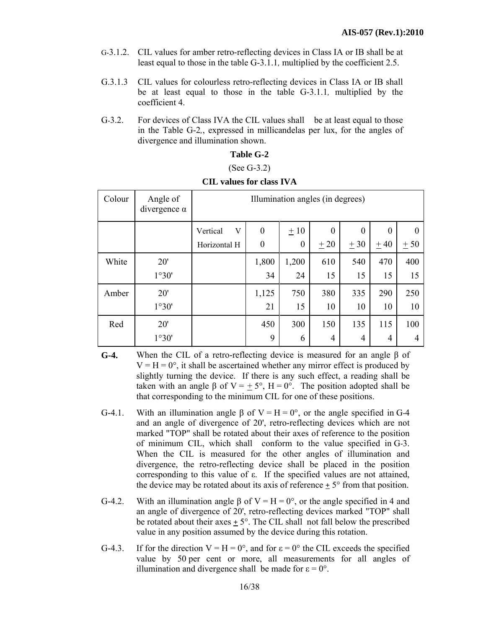- G-3.1.2. CIL values for amber retro-reflecting devices in Class IA or IB shall be at least equal to those in the table G-3.1.1*,* multiplied by the coefficient 2.5.
- G.3.1.3 CIL values for colourless retro-reflecting devices in Class IA or IB shall be at least equal to those in the table G-3.1.1*,* multiplied by the coefficient 4.
- G-3.2. For devices of Class IVA the CIL values shall be at least equal to those in the Table G-2*,*, expressed in millicandelas per lux, for the angles of divergence and illumination shown.

## **Table G-2**

#### (See G-3.2)

| Colour | Angle of<br>divergence $\alpha$ | Illumination angles (in degrees) |                  |          |          |          |                |          |
|--------|---------------------------------|----------------------------------|------------------|----------|----------|----------|----------------|----------|
|        |                                 | V<br>Vertical                    | $\boldsymbol{0}$ | ±10      | $\theta$ | $\theta$ | $\theta$       | $\theta$ |
|        |                                 | Horizontal H                     | $\boldsymbol{0}$ | $\theta$ | ± 20     | ± 30     | $±$ 40         | ± 50     |
| White  | 20'                             |                                  | 1,800            | 1,200    | 610      | 540      | 470            | 400      |
|        | 1°30'                           |                                  | 34               | 24       | 15       | 15       | 15             | 15       |
| Amber  | 20'                             |                                  | 1,125            | 750      | 380      | 335      | 290            | 250      |
|        | 1°30'                           |                                  | 21               | 15       | 10       | 10       | 10             | 10       |
| Red    | 20'                             |                                  | 450              | 300      | 150      | 135      | 115            | 100      |
|        | 1°30'                           |                                  | 9                | 6        | 4        | 4        | $\overline{4}$ | 4        |

#### **CIL values for class IVA**

- **G-4.** When the CIL of a retro-reflecting device is measured for an angle β of  $V = H = 0^{\circ}$ , it shall be ascertained whether any mirror effect is produced by slightly turning the device. If there is any such effect, a reading shall be taken with an angle β of  $V = \pm 5^{\circ}$ ,  $H = 0^{\circ}$ . The position adopted shall be that corresponding to the minimum CIL for one of these positions.
- G-4.1. With an illumination angle  $\beta$  of  $V = H = 0^\circ$ , or the angle specified in G-4 and an angle of divergence of 20', retro-reflecting devices which are not marked "TOP" shall be rotated about their axes of reference to the position of minimum CIL, which shall conform to the value specified in G*-*3. When the CIL is measured for the other angles of illumination and divergence, the retro-reflecting device shall be placed in the position corresponding to this value of ε. If the specified values are not attained, the device may be rotated about its axis of reference  $\pm$  5° from that position.
- G-4.2. With an illumination angle  $\beta$  of  $V = H = 0^{\circ}$ , or the angle specified in 4 and an angle of divergence of 20', retro-reflecting devices marked "TOP" shall be rotated about their axes *+* 5°. The CIL shall not fall below the prescribed value in any position assumed by the device during this rotation.
- G-4.3. If for the direction  $V = H = 0^{\circ}$ , and for  $\varepsilon = 0^{\circ}$  the CIL exceeds the specified value by 50 per cent or more, all measurements for all angles of illumination and divergence shall be made for  $\varepsilon = 0^{\circ}$ .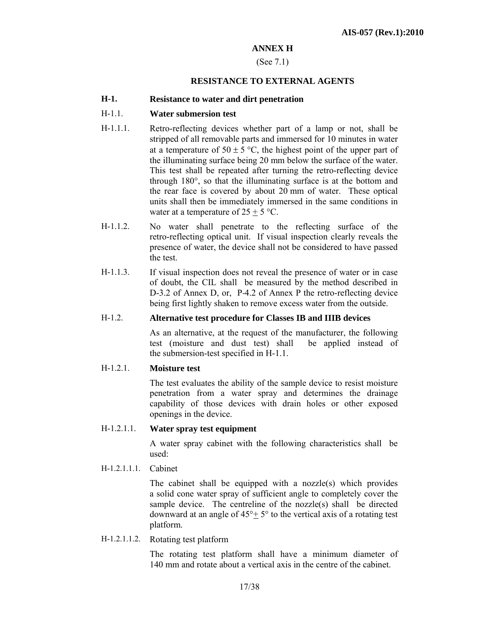## **ANNEX H**

#### (See 7.1)

#### **RESISTANCE TO EXTERNAL AGENTS**

#### **H-1. Resistance to water and dirt penetration**

#### H-1.1. **Water submersion test**

- H-1.1.1. Retro-reflecting devices whether part of a lamp or not, shall be stripped of all removable parts and immersed for 10 minutes in water at a temperature of  $50 \pm 5$  °C, the highest point of the upper part of the illuminating surface being 20 mm below the surface of the water. This test shall be repeated after turning the retro-reflecting device through 180°, so that the illuminating surface is at the bottom and the rear face is covered by about 20 mm of water. These optical units shall then be immediately immersed in the same conditions in water at a temperature of  $25 + 5$  °C.
- H-1.1.2. No water shall penetrate to the reflecting surface of the retro-reflecting optical unit. If visual inspection clearly reveals the presence of water, the device shall not be considered to have passed the test.
- H-1.1.3. If visual inspection does not reveal the presence of water or in case of doubt, the CIL shall be measured by the method described in D-3.2 of Annex D, or, P-4.2 of Annex P the retro-reflecting device being first lightly shaken to remove excess water from the outside.

#### H-1.2. **Alternative test procedure for Classes IB and IIIB devices**

As an alternative, at the request of the manufacturer, the following test (moisture and dust test) shall be applied instead of the submersion-test specified in H-1.1.

#### H-1.2.1. **Moisture test**

The test evaluates the ability of the sample device to resist moisture penetration from a water spray and determines the drainage capability of those devices with drain holes or other exposed openings in the device.

#### H-1.2.1.1. **Water spray test equipment**

A water spray cabinet with the following characteristics shall be used:

H-1.2.1.1.1. Cabinet

The cabinet shall be equipped with a nozzle(s) which provides a solid cone water spray of sufficient angle to completely cover the sample device. The centreline of the nozzle(s) shall be directed downward at an angle of  $45^{\circ}$  +  $5^{\circ}$  to the vertical axis of a rotating test platform.

H-1.2.1.1.2. Rotating test platform

The rotating test platform shall have a minimum diameter of 140 mm and rotate about a vertical axis in the centre of the cabinet.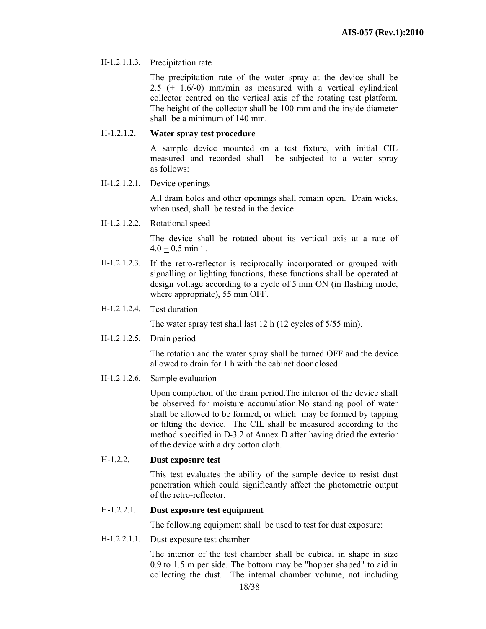#### H-1.2.1.1.3. Precipitation rate

The precipitation rate of the water spray at the device shall be 2.5 (+ 1.6/-0) mm/min as measured with a vertical cylindrical collector centred on the vertical axis of the rotating test platform. The height of the collector shall be 100 mm and the inside diameter shall be a minimum of 140 mm.

#### H-1.2.1.2. **Water spray test procedure**

A sample device mounted on a test fixture, with initial CIL measured and recorded shall be subjected to a water spray as follows:

H-1.2.1.2.1. Device openings

All drain holes and other openings shall remain open. Drain wicks, when used, shall be tested in the device.

H-1.2.1.2.2. Rotational speed

The device shall be rotated about its vertical axis at a rate of  $4.0 + 0.5$  min<sup>-1</sup>.

- H-1.2.1.2.3. If the retro-reflector is reciprocally incorporated or grouped with signalling or lighting functions, these functions shall be operated at design voltage according to a cycle of 5 min ON (in flashing mode, where appropriate), 55 min OFF.
- H-1.2.1.2.4. Test duration

The water spray test shall last 12 h (12 cycles of 5/55 min).

H-1.2.1.2.5. Drain period

The rotation and the water spray shall be turned OFF and the device allowed to drain for 1 h with the cabinet door closed.

H-1.2.1.2.6. Sample evaluation

Upon completion of the drain period.The interior of the device shall be observed for moisture accumulation.No standing pool of water shall be allowed to be formed, or which may be formed by tapping or tilting the device. The CIL shall be measured according to the method specified in D-3.2 of Annex D after having dried the exterior of the device with a dry cotton cloth.

#### H-1.2.2. **Dust exposure test**

This test evaluates the ability of the sample device to resist dust penetration which could significantly affect the photometric output of the retro-reflector.

#### H-1.2.2.1. **Dust exposure test equipment**

The following equipment shall be used to test for dust exposure:

H-1.2.2.1.1. Dust exposure test chamber

The interior of the test chamber shall be cubical in shape in size 0.9 to 1.5 m per side. The bottom may be "hopper shaped" to aid in collecting the dust. The internal chamber volume, not including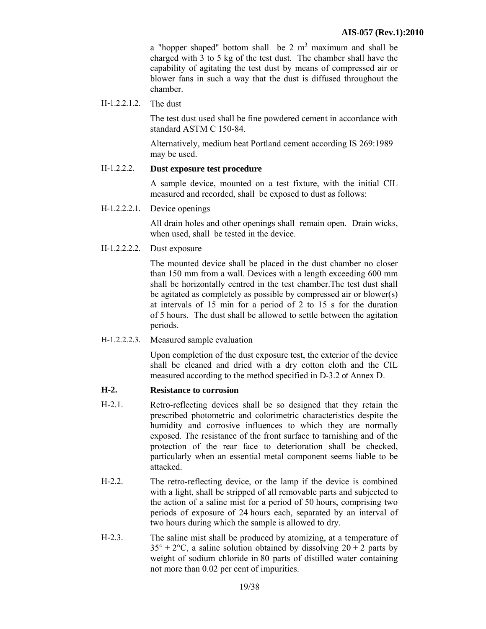a "hopper shaped" bottom shall be  $2 \text{ m}^3$  maximum and shall be charged with 3 to 5 kg of the test dust. The chamber shall have the capability of agitating the test dust by means of compressed air or blower fans in such a way that the dust is diffused throughout the chamber.

H*-*1.2.2.1.2. The dust

The test dust used shall be fine powdered cement in accordance with standard ASTM C 150-84.

Alternatively, medium heat Portland cement according IS 269:1989 may be used.

#### H-1.2.2.2. **Dust exposure test procedure**

A sample device, mounted on a test fixture, with the initial CIL measured and recorded, shall be exposed to dust as follows:

H-1.2.2.2.1. Device openings

All drain holes and other openings shall remain open. Drain wicks, when used, shall be tested in the device.

H-1.2.2.2.2. Dust exposure

The mounted device shall be placed in the dust chamber no closer than 150 mm from a wall. Devices with a length exceeding 600 mm shall be horizontally centred in the test chamber.The test dust shall be agitated as completely as possible by compressed air or blower(s) at intervals of 15 min for a period of 2 to 15 s for the duration of 5 hours. The dust shall be allowed to settle between the agitation periods.

H-1.2.2.2.3. Measured sample evaluation

Upon completion of the dust exposure test, the exterior of the device shall be cleaned and dried with a dry cotton cloth and the CIL measured according to the method specified in D-3.2 of Annex D.

#### **H-2. Resistance to corrosion**

- H-2.1. Retro-reflecting devices shall be so designed that they retain the prescribed photometric and colorimetric characteristics despite the humidity and corrosive influences to which they are normally exposed. The resistance of the front surface to tarnishing and of the protection of the rear face to deterioration shall be checked, particularly when an essential metal component seems liable to be attacked.
- H-2.2. The retro-reflecting device, or the lamp if the device is combined with a light, shall be stripped of all removable parts and subjected to the action of a saline mist for a period of 50 hours, comprising two periods of exposure of 24 hours each, separated by an interval of two hours during which the sample is allowed to dry.
- H-2.3. The saline mist shall be produced by atomizing, at a temperature of  $35^{\circ} + 2^{\circ}$ C, a saline solution obtained by dissolving  $20 + 2$  parts by weight of sodium chloride in 80 parts of distilled water containing not more than 0.02 per cent of impurities.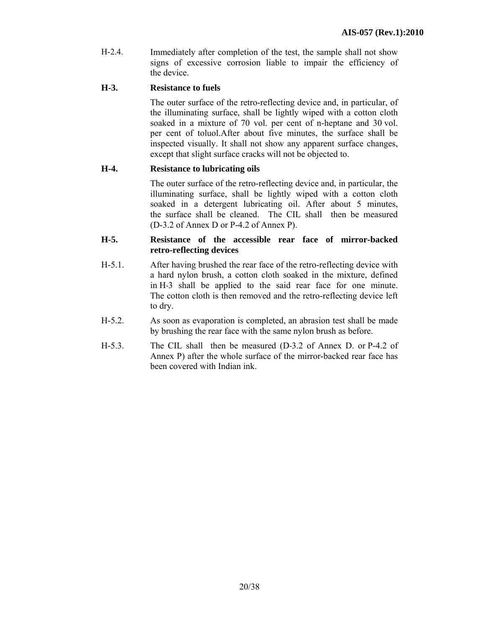H-2.4. Immediately after completion of the test, the sample shall not show signs of excessive corrosion liable to impair the efficiency of the device.

## **H-3. Resistance to fuels**

The outer surface of the retro-reflecting device and, in particular, of the illuminating surface, shall be lightly wiped with a cotton cloth soaked in a mixture of 70 vol. per cent of n-heptane and 30 vol. per cent of toluol.After about five minutes, the surface shall be inspected visually. It shall not show any apparent surface changes, except that slight surface cracks will not be objected to.

## **H-4. Resistance to lubricating oils**

The outer surface of the retro-reflecting device and, in particular, the illuminating surface, shall be lightly wiped with a cotton cloth soaked in a detergent lubricating oil. After about 5 minutes, the surface shall be cleaned. The CIL shall then be measured (D-3.2 of Annex D or P-4.2 of Annex P).

#### **H-5. Resistance of the accessible rear face of mirror-backed retro-reflecting devices**

- H-5.1. After having brushed the rear face of the retro-reflecting device with a hard nylon brush, a cotton cloth soaked in the mixture, defined in H-3 shall be applied to the said rear face for one minute. The cotton cloth is then removed and the retro-reflecting device left to dry.
- H-5.2. As soon as evaporation is completed, an abrasion test shall be made by brushing the rear face with the same nylon brush as before.
- H-5.3. The CIL shall then be measured (D-3.2 of Annex D. or P-4.2 of Annex P) after the whole surface of the mirror-backed rear face has been covered with Indian ink.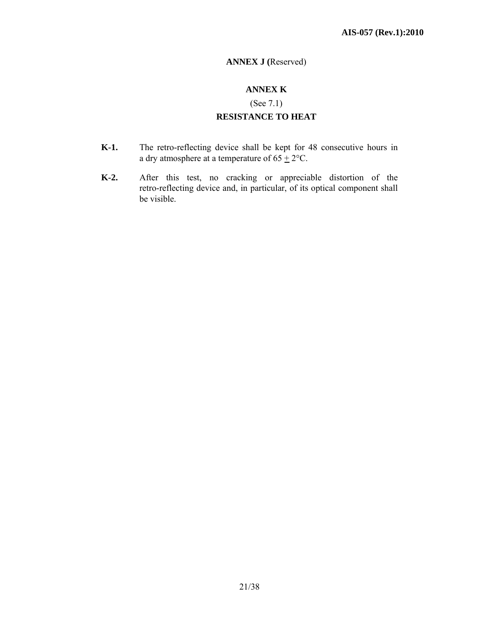# **ANNEX J (**Reserved)

# **ANNEX K**

(See 7.1)

## **RESISTANCE TO HEAT**

- **K-1.** The retro-reflecting device shall be kept for 48 consecutive hours in a dry atmosphere at a temperature of  $65 \pm 2$ °C.
- **K-2.** After this test, no cracking or appreciable distortion of the retro-reflecting device and, in particular, of its optical component shall be visible.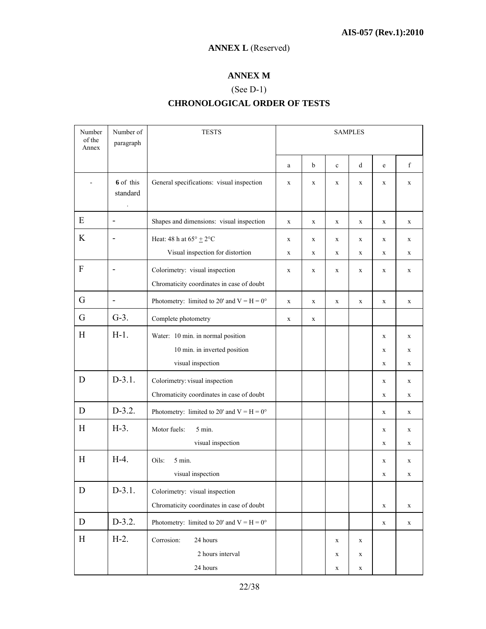# **ANNEX L** (Reserved)

# **ANNEX M**

# (See D-1) **CHRONOLOGICAL ORDER OF TESTS**

| Number<br>of the<br>Annex | Number of<br>paragraph       | <b>TESTS</b>                                                                | <b>SAMPLES</b>   |                  |                                 |                             |                            |                            |
|---------------------------|------------------------------|-----------------------------------------------------------------------------|------------------|------------------|---------------------------------|-----------------------------|----------------------------|----------------------------|
|                           |                              |                                                                             | a                | b                | $\mathbf c$                     | d                           | e                          | f                          |
|                           | 6 of this<br>standard        | General specifications: visual inspection                                   | $\mathbf{x}$     | $\mathbf{x}$     | $\mathbf X$                     | $\mathbf X$                 | $\mathbf X$                | $\mathbf{x}$               |
| E                         | $\blacksquare$               | Shapes and dimensions: visual inspection                                    | $\mathbf X$      | $\mathbf X$      | X                               | X                           | X                          | $\mathbf X$                |
| K                         |                              | Heat: 48 h at $65^{\circ}$ $\pm$ 2°C<br>Visual inspection for distortion    | $\mathbf X$<br>X | $\mathbf X$<br>X | $\mathbf X$<br>X                | $\mathbf X$<br>$\mathbf{x}$ | $\mathbf X$<br>X           | X<br>X                     |
| $\mathbf{F}$              | $\overline{\phantom{a}}$     | Colorimetry: visual inspection<br>Chromaticity coordinates in case of doubt | $\mathbf X$      | $\mathbf X$      | $\mathbf X$                     | $\mathbf X$                 | $\mathbf X$                | $\mathbf X$                |
| G                         | $\qquad \qquad \blacksquare$ | Photometry: limited to 20' and $V = H = 0^{\circ}$                          | $\mathbf X$      | $\mathbf X$      | $\mathbf X$                     | $\mathbf X$                 | $\mathbf X$                | X                          |
| G                         | $G-3$ .                      | Complete photometry                                                         | $\mathbf X$      | $\mathbf X$      |                                 |                             |                            |                            |
| H                         | $H-1.$                       | Water: 10 min. in normal position                                           |                  |                  |                                 |                             | X                          | $\mathbf X$                |
|                           |                              | 10 min. in inverted position<br>visual inspection                           |                  |                  |                                 |                             | $\mathbf X$<br>$\mathbf X$ | $\mathbf X$<br>$\mathbf X$ |
| D                         | $D-3.1.$                     | Colorimetry: visual inspection<br>Chromaticity coordinates in case of doubt |                  |                  |                                 |                             | $\mathbf X$<br>$\mathbf X$ | X<br>$\mathbf X$           |
| D                         | $D-3.2.$                     | Photometry: limited to 20' and $V = H = 0^{\circ}$                          |                  |                  |                                 |                             | $\mathbf X$                | $\mathbf X$                |
| H                         | $H-3$ .                      | Motor fuels:<br>5 min.<br>visual inspection                                 |                  |                  |                                 |                             | X<br>X                     | X<br>$\mathbf X$           |
| H                         | $H-4.$                       | Oils:<br>5 min.<br>visual inspection                                        |                  |                  |                                 |                             | $\mathbf X$<br>X           | $\mathbf X$<br>$\mathbf X$ |
| D                         | $D-3.1.$                     | Colorimetry: visual inspection<br>Chromaticity coordinates in case of doubt |                  |                  |                                 |                             | $\mathbf X$                | $\mathbf X$                |
| $\mathbf D$               | $D-3.2.$                     | Photometry: limited to 20' and $V = H = 0^{\circ}$                          |                  |                  |                                 |                             | $\mathbf X$                | $\mathbf X$                |
| H                         | $H-2$ .                      | Corrosion:<br>24 hours<br>2 hours interval<br>24 hours                      |                  |                  | $\mathbf X$<br>X<br>$\mathbf X$ | X<br>X<br>$\mathbf X$       |                            |                            |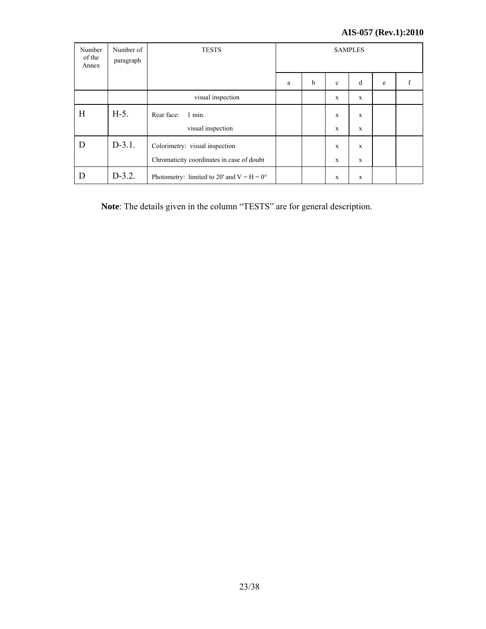# **AIS-057 (Rev.1):2010**

| Number<br>of the<br>Annex | Number of<br>paragraph | <b>TESTS</b>                                       | <b>SAMPLES</b> |   |              |              |   |   |
|---------------------------|------------------------|----------------------------------------------------|----------------|---|--------------|--------------|---|---|
|                           |                        |                                                    | a              | b | $\mathbf{c}$ | d            | e | f |
|                           |                        | visual inspection                                  |                |   | X            | X            |   |   |
| H                         | $H-5$ .                | Rear face:<br>$1$ min.                             |                |   | X            | X            |   |   |
|                           |                        | visual inspection                                  |                |   | X            | X            |   |   |
| D                         | $D-3.1.$               | Colorimetry: visual inspection                     |                |   | X            | $\mathbf{x}$ |   |   |
|                           |                        | Chromaticity coordinates in case of doubt          |                |   | X            | X            |   |   |
| D                         | $D-3.2.$               | Photometry: limited to 20' and $V = H = 0^{\circ}$ |                |   | X            | X            |   |   |

**Note**: The details given in the column "TESTS" are for general description.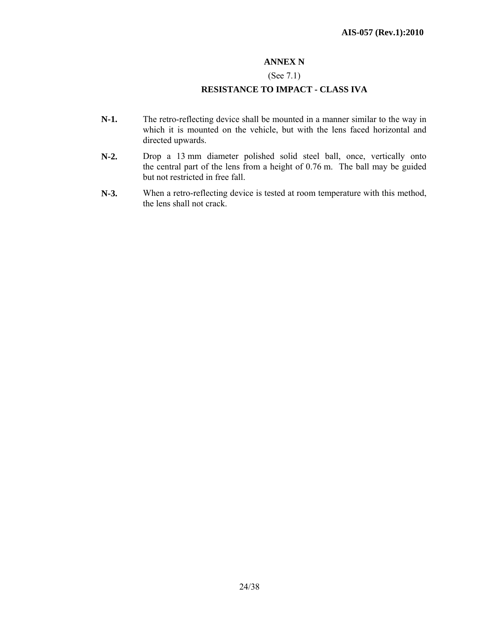## **ANNEX N**

## (See 7.1)

## **RESISTANCE TO IMPACT - CLASS IVA**

- **N-1.** The retro-reflecting device shall be mounted in a manner similar to the way in which it is mounted on the vehicle, but with the lens faced horizontal and directed upwards.
- **N-2.** Drop a 13 mm diameter polished solid steel ball, once, vertically onto the central part of the lens from a height of 0.76 m. The ball may be guided but not restricted in free fall.
- **N-3.** When a retro-reflecting device is tested at room temperature with this method, the lens shall not crack.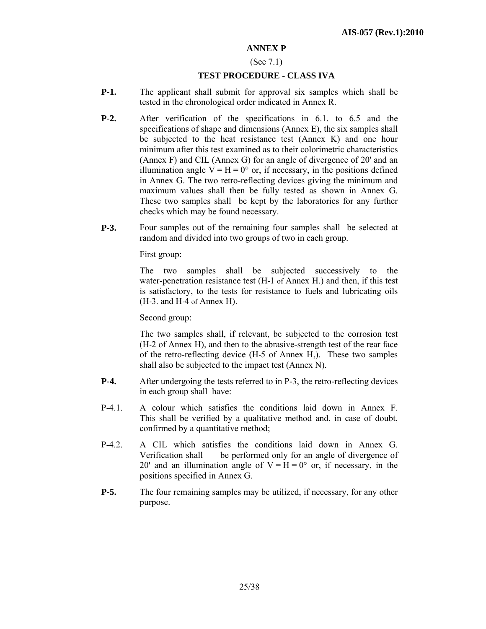#### **ANNEX P**

#### (See 7.1)

#### **TEST PROCEDURE - CLASS IVA**

- **P-1.** The applicant shall submit for approval six samples which shall be tested in the chronological order indicated in Annex R.
- **P-2.** After verification of the specifications in 6.1. to 6.5 and the specifications of shape and dimensions (Annex E), the six samples shall be subjected to the heat resistance test (Annex K) and one hour minimum after this test examined as to their colorimetric characteristics (Annex F) and CIL (Annex G) for an angle of divergence of 20' and an illumination angle  $V = H = 0^{\circ}$  or, if necessary, in the positions defined in Annex G. The two retro-reflecting devices giving the minimum and maximum values shall then be fully tested as shown in Annex G. These two samples shall be kept by the laboratories for any further checks which may be found necessary.
- **P-3.** Four samples out of the remaining four samples shall be selected at random and divided into two groups of two in each group.

First group:

The two samples shall be subjected successively to the water-penetration resistance test (H*-*1 of Annex H.) and then, if this test is satisfactory, to the tests for resistance to fuels and lubricating oils (H*-*3. and H*-*4 of Annex H).

Second group:

The two samples shall, if relevant, be subjected to the corrosion test (H*-*2 of Annex H), and then to the abrasive-strength test of the rear face of the retro-reflecting device (H*-*5 of Annex H,). These two samples shall also be subjected to the impact test (Annex N).

- **P-4.** After undergoing the tests referred to in P-3, the retro-reflecting devices in each group shall have:
- P-4.1. A colour which satisfies the conditions laid down in Annex F. This shall be verified by a qualitative method and, in case of doubt, confirmed by a quantitative method;
- P-4.2. A CIL which satisfies the conditions laid down in Annex G. Verification shall be performed only for an angle of divergence of 20' and an illumination angle of  $V = H = 0^{\circ}$  or, if necessary, in the positions specified in Annex G.
- **P-5.** The four remaining samples may be utilized, if necessary, for any other purpose.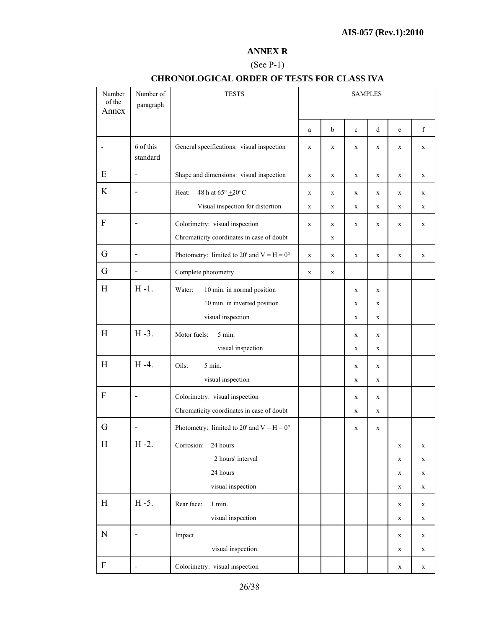#### **ANNEX R**

# (See P-1)

| Number<br>of the<br>Annex | Number of<br>paragraph   | <b>TESTS</b>                                                                                 | <b>SAMPLES</b> |        |                       |             |                                                          |                                      |
|---------------------------|--------------------------|----------------------------------------------------------------------------------------------|----------------|--------|-----------------------|-------------|----------------------------------------------------------|--------------------------------------|
|                           |                          |                                                                                              | a              | b      | $\mathbf c$           | d           | $\rm e$                                                  | $\mathbf f$                          |
|                           | 6 of this<br>standard    | General specifications: visual inspection                                                    | $\mathbf X$    | X      | X                     | X           | X                                                        | $\mathbf X$                          |
| E                         | $\overline{\phantom{0}}$ | Shape and dimensions: visual inspection                                                      | $\mathbf X$    | X      | $\mathbf X$           | $\mathbf X$ | $\mathbf X$                                              | $\mathbf X$                          |
| K                         | $\overline{\phantom{0}}$ | 48 h at $65^{\circ}$ $\pm20^{\circ} \mathrm{C}$<br>Heat:<br>Visual inspection for distortion | X<br>X         | X<br>X | X<br>$\mathbf X$      | X<br>X      | $\mathbf X$<br>$\mathbf X$                               | X<br>$\mathbf X$                     |
| ${\bf F}$                 |                          | Colorimetry: visual inspection<br>Chromaticity coordinates in case of doubt                  | X              | X<br>X | $\mathbf X$           | X           | $\mathbf X$                                              | X                                    |
| G                         | -                        | Photometry: limited to 20' and $V = H = 0^{\circ}$                                           | $\mathbf X$    | X      | $\mathbf X$           | $\mathbf X$ | $\mathbf X$                                              | $\mathbf X$                          |
| G                         | -                        | Complete photometry                                                                          | X              | X      |                       |             |                                                          |                                      |
| H                         | $H - 1$ .                | Water:<br>10 min. in normal position<br>10 min. in inverted position<br>visual inspection    |                |        | X<br>X<br>$\mathbf X$ | X<br>X<br>X |                                                          |                                      |
| H                         | $H - 3$ .                | Motor fuels:<br>5 min.<br>visual inspection                                                  |                |        | X<br>$\mathbf X$      | X<br>X      |                                                          |                                      |
| H                         | $H -4.$                  | 5 min.<br>Oils:<br>visual inspection                                                         |                |        | X<br>$\mathbf X$      | X<br>X      |                                                          |                                      |
| F                         |                          | Colorimetry: visual inspection<br>Chromaticity coordinates in case of doubt                  |                |        | X<br>X                | X<br>X      |                                                          |                                      |
| G                         |                          | Photometry: limited to 20' and $V = H = 0^{\circ}$                                           |                |        | X                     | $\mathbf X$ |                                                          |                                      |
| H                         | $H - 2$ .                | 24 hours<br>Corrosion:<br>2 hours' interval<br>24 hours<br>visual inspection                 |                |        |                       |             | $\mathbf X$<br>$\mathbf X$<br>$\mathbf X$<br>$\mathbf X$ | $\mathbf X$<br>$\mathbf X$<br>X<br>X |
| H                         | $H - 5$ .                | Rear face:<br>1 min.<br>visual inspection                                                    |                |        |                       |             | X<br>$\mathbf X$                                         | X<br>X                               |
| ${\bf N}$                 | -                        | Impact<br>visual inspection                                                                  |                |        |                       |             | X<br>$\mathbf X$                                         | X<br>X                               |
| F                         | -                        | Colorimetry: visual inspection                                                               |                |        |                       |             | X                                                        | $\mathbf X$                          |

# **CHRONOLOGICAL ORDER OF TESTS FOR CLASS IVA**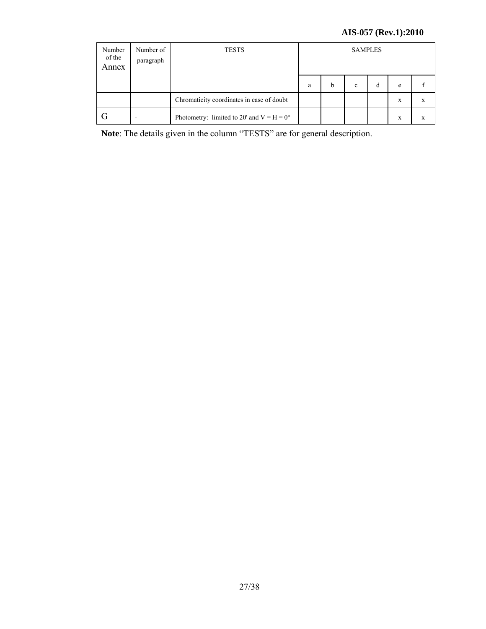# **AIS-057 (Rev.1):2010**

| Number<br>of the<br>Annex | Number of<br>paragraph | <b>TESTS</b>                                       |   | <b>SAMPLES</b> |   |   |   |   |
|---------------------------|------------------------|----------------------------------------------------|---|----------------|---|---|---|---|
|                           |                        |                                                    | a | b              | c | d | e |   |
|                           |                        | Chromaticity coordinates in case of doubt          |   |                |   |   | X | X |
|                           |                        | Photometry: limited to 20' and $V = H = 0^{\circ}$ |   |                |   |   | x | X |

**Note**: The details given in the column "TESTS" are for general description.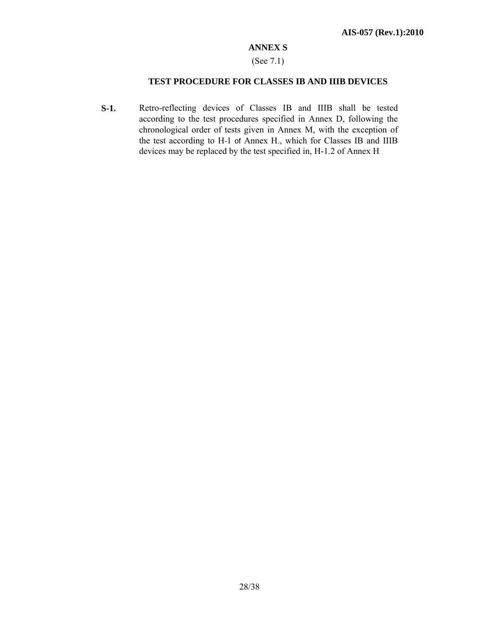#### **ANNEX S**

#### (See 7.1)

#### **TEST PROCEDURE FOR CLASSES IB AND IIIB DEVICES**

**S-1.** Retro-reflecting devices of Classes IB and IIIB shall be tested according to the test procedures specified in Annex D, following the chronological order of tests given in Annex M, with the exception of the test according to H*-*1 of Annex H., which for Classes IB and IIIB devices may be replaced by the test specified in, H-1.2 of Annex H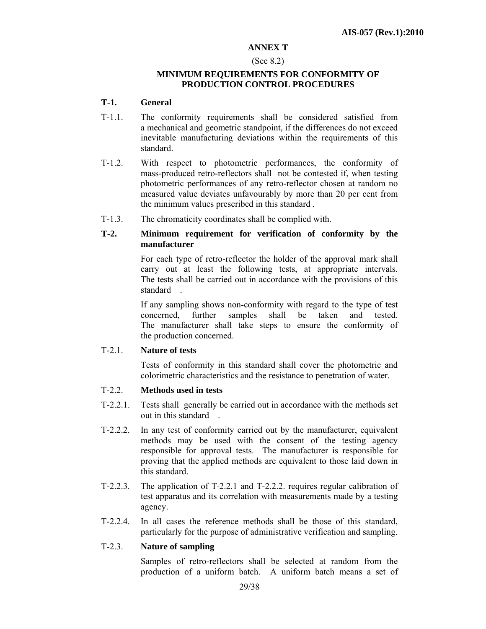#### **ANNEX T**

#### (See 8.2)

#### **MINIMUM REQUIREMENTS FOR CONFORMITY OF PRODUCTION CONTROL PROCEDURES**

#### **T-1. General**

- T-1.1. The conformity requirements shall be considered satisfied from a mechanical and geometric standpoint, if the differences do not exceed inevitable manufacturing deviations within the requirements of this standard.
- T-1.2. With respect to photometric performances, the conformity of mass-produced retro-reflectors shall not be contested if, when testing photometric performances of any retro-reflector chosen at random no measured value deviates unfavourably by more than 20 per cent from the minimum values prescribed in this standard .
- T-1.3. The chromaticity coordinates shall be complied with.

#### **T-2. Minimum requirement for verification of conformity by the manufacturer**

For each type of retro-reflector the holder of the approval mark shall carry out at least the following tests, at appropriate intervals. The tests shall be carried out in accordance with the provisions of this standard .

If any sampling shows non-conformity with regard to the type of test concerned, further samples shall be taken and tested. The manufacturer shall take steps to ensure the conformity of the production concerned.

#### T-2.1. **Nature of tests**

 Tests of conformity in this standard shall cover the photometric and colorimetric characteristics and the resistance to penetration of water.

#### T-2.2. **Methods used in tests**

- T-2.2.1. Tests shall generally be carried out in accordance with the methods set out in this standard .
- T-2.2.2. In any test of conformity carried out by the manufacturer, equivalent methods may be used with the consent of the testing agency responsible for approval tests. The manufacturer is responsible for proving that the applied methods are equivalent to those laid down in this standard.
- T-2.2.3. The application of T*-*2.2.1 and T-2.2.2. requires regular calibration of test apparatus and its correlation with measurements made by a testing agency.
- T-2.2.4. In all cases the reference methods shall be those of this standard, particularly for the purpose of administrative verification and sampling.

## T-2.3. **Nature of sampling**

Samples of retro-reflectors shall be selected at random from the production of a uniform batch. A uniform batch means a set of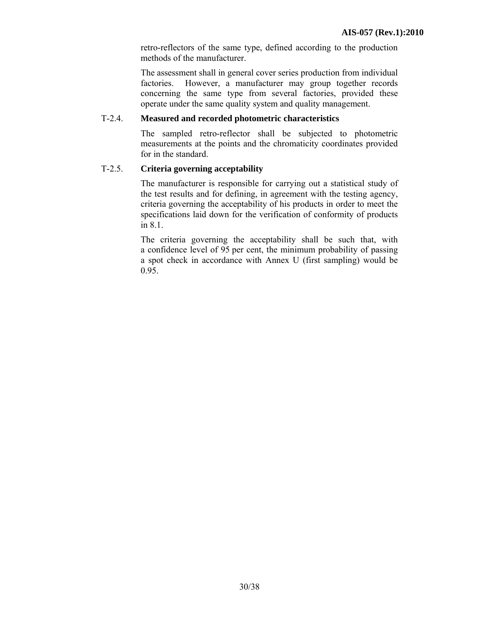retro-reflectors of the same type, defined according to the production methods of the manufacturer.

The assessment shall in general cover series production from individual factories. However, a manufacturer may group together records concerning the same type from several factories, provided these operate under the same quality system and quality management.

#### T-2.4. **Measured and recorded photometric characteristics**

 The sampled retro-reflector shall be subjected to photometric measurements at the points and the chromaticity coordinates provided for in the standard.

## T-2.5. **Criteria governing acceptability**

The manufacturer is responsible for carrying out a statistical study of the test results and for defining, in agreement with the testing agency, criteria governing the acceptability of his products in order to meet the specifications laid down for the verification of conformity of products in 8.1.

The criteria governing the acceptability shall be such that, with a confidence level of 95 per cent, the minimum probability of passing a spot check in accordance with Annex U (first sampling) would be 0.95.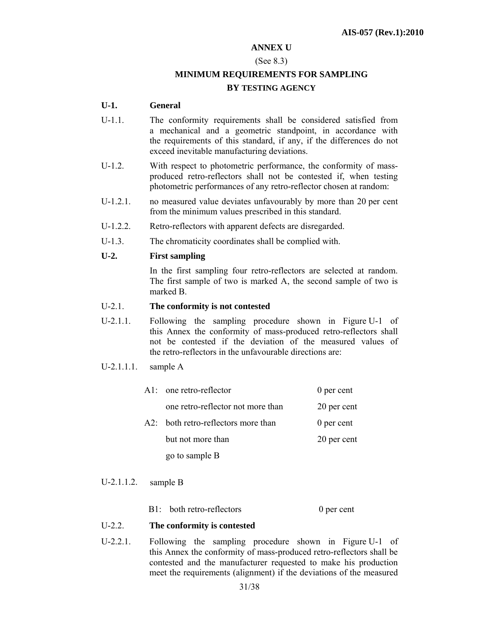#### **ANNEX U**

#### (See 8.3)

# **MINIMUM REQUIREMENTS FOR SAMPLING BY TESTING AGENCY**

#### **U-1. General**

- U-1.1. The conformity requirements shall be considered satisfied from a mechanical and a geometric standpoint, in accordance with the requirements of this standard, if any, if the differences do not exceed inevitable manufacturing deviations.
- U-1.2. With respect to photometric performance, the conformity of massproduced retro-reflectors shall not be contested if, when testing photometric performances of any retro-reflector chosen at random:
- U-1.2.1. no measured value deviates unfavourably by more than 20 per cent from the minimum values prescribed in this standard.
- U-1.2.2. Retro-reflectors with apparent defects are disregarded.
- U-1.3. The chromaticity coordinates shall be complied with.

#### **U-2. First sampling**

In the first sampling four retro-reflectors are selected at random. The first sample of two is marked A, the second sample of two is marked B.

### U-2.1. **The conformity is not contested**

- U-2.1.1. Following the sampling procedure shown in Figure U-1 of this Annex the conformity of mass-produced retro-reflectors shall not be contested if the deviation of the measured values of the retro-reflectors in the unfavourable directions are:
- U-2.1.1.1. sample A

| $\mathbf{A}1$ one retro-reflector   | 0 per cent  |
|-------------------------------------|-------------|
| one retro-reflector not more than   | 20 per cent |
| A2: both retro-reflectors more than | 0 per cent  |
| but not more than                   | 20 per cent |
| go to sample B                      |             |

U-2.1.1.2. sample B

B1: both retro-reflectors 0 per cent

#### U-2.2. **The conformity is contested**

U-2.2.1. Following the sampling procedure shown in Figure U-1 of this Annex the conformity of mass-produced retro-reflectors shall be contested and the manufacturer requested to make his production meet the requirements (alignment) if the deviations of the measured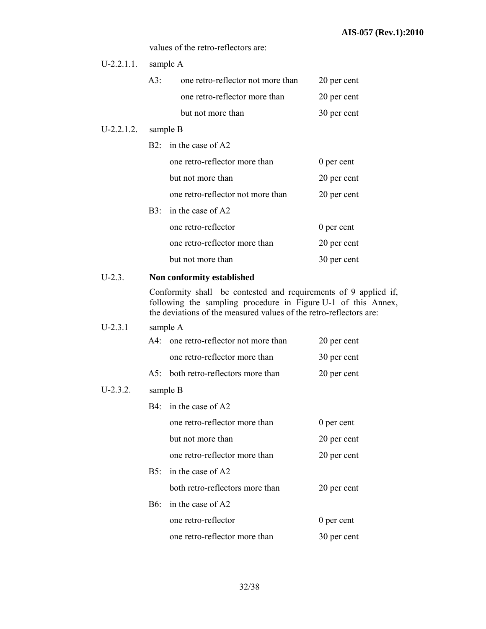values of the retro-reflectors are:

| $U-2.2.1.1.$ |                            | sample A                                                                                                                                                                                               |              |  |  |  |  |
|--------------|----------------------------|--------------------------------------------------------------------------------------------------------------------------------------------------------------------------------------------------------|--------------|--|--|--|--|
|              | A3:                        | one retro-reflector not more than                                                                                                                                                                      | 20 per cent  |  |  |  |  |
|              |                            | one retro-reflector more than                                                                                                                                                                          | 20 per cent  |  |  |  |  |
|              |                            | but not more than                                                                                                                                                                                      | 30 per cent  |  |  |  |  |
| $U-2.2.1.2.$ | sample B                   |                                                                                                                                                                                                        |              |  |  |  |  |
|              |                            | B2: in the case of A2                                                                                                                                                                                  |              |  |  |  |  |
|              |                            | one retro-reflector more than                                                                                                                                                                          | $0$ per cent |  |  |  |  |
|              |                            | but not more than                                                                                                                                                                                      | 20 per cent  |  |  |  |  |
|              |                            | one retro-reflector not more than                                                                                                                                                                      | 20 per cent  |  |  |  |  |
|              |                            | B3: in the case of A2                                                                                                                                                                                  |              |  |  |  |  |
|              |                            | one retro-reflector                                                                                                                                                                                    | $0$ per cent |  |  |  |  |
|              |                            | one retro-reflector more than                                                                                                                                                                          | 20 per cent  |  |  |  |  |
|              |                            | but not more than                                                                                                                                                                                      | 30 per cent  |  |  |  |  |
| $U-2.3.$     | Non conformity established |                                                                                                                                                                                                        |              |  |  |  |  |
|              |                            | Conformity shall be contested and requirements of 9 applied if,<br>following the sampling procedure in Figure U-1 of this Annex,<br>the deviations of the measured values of the retro-reflectors are: |              |  |  |  |  |
| $U-2.3.1$    |                            | sample A                                                                                                                                                                                               |              |  |  |  |  |
|              |                            | A4: one retro-reflector not more than                                                                                                                                                                  | 20 per cent  |  |  |  |  |
|              |                            | one retro-reflector more than                                                                                                                                                                          | 30 per cent  |  |  |  |  |
|              |                            | A5: both retro-reflectors more than                                                                                                                                                                    | 20 per cent  |  |  |  |  |
| $U-2.3.2.$   |                            | sample B                                                                                                                                                                                               |              |  |  |  |  |
|              |                            | B4: in the case of A2                                                                                                                                                                                  |              |  |  |  |  |
|              |                            | one retro-reflector more than                                                                                                                                                                          | $0$ per cent |  |  |  |  |
|              |                            | but not more than                                                                                                                                                                                      | 20 per cent  |  |  |  |  |
|              |                            | one retro-reflector more than                                                                                                                                                                          | 20 per cent  |  |  |  |  |
|              | B5:                        | in the case of A2                                                                                                                                                                                      |              |  |  |  |  |
|              |                            | both retro-reflectors more than                                                                                                                                                                        | 20 per cent  |  |  |  |  |
|              | <b>B6:</b>                 | in the case of A2                                                                                                                                                                                      |              |  |  |  |  |
|              |                            | one retro-reflector                                                                                                                                                                                    | 0 per cent   |  |  |  |  |
|              |                            | one retro-reflector more than                                                                                                                                                                          | 30 per cent  |  |  |  |  |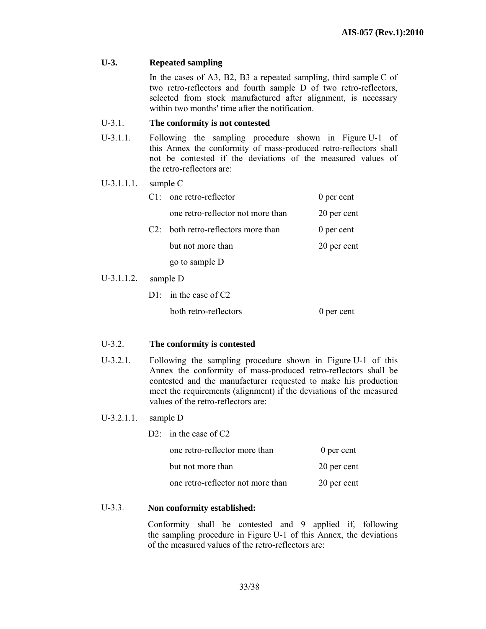#### **U-3. Repeated sampling**

In the cases of A3, B2, B3 a repeated sampling, third sample C of two retro-reflectors and fourth sample D of two retro-reflectors, selected from stock manufactured after alignment, is necessary within two months' time after the notification.

#### U-3.1. **The conformity is not contested**

- U-3.1.1. Following the sampling procedure shown in Figure U-1 of this Annex the conformity of mass-produced retro-reflectors shall not be contested if the deviations of the measured values of the retro-reflectors are:
- U-3.1.1.1. sample C

| $\mathbf{C}$      | one retro-reflector               | 0 per cent  |
|-------------------|-----------------------------------|-------------|
|                   | one retro-reflector not more than | 20 per cent |
| $($ $\mathcal{D}$ | both retro-reflectors more than   | 0 per cent  |
|                   | but not more than                 | 20 per cent |
|                   | go to sample D                    |             |
|                   |                                   |             |

#### U-3.1.1.2. sample D

| $D1$ : in the case of C2 |            |
|--------------------------|------------|
| both retro-reflectors    | 0 per cent |

#### U-3.2. **The conformity is contested**

U-3.2.1. Following the sampling procedure shown in Figure U-1 of this Annex the conformity of mass-produced retro-reflectors shall be contested and the manufacturer requested to make his production meet the requirements (alignment) if the deviations of the measured values of the retro-reflectors are:

#### U-3.2.1.1. sample D

| D2: in the case of $C2$           |             |  |
|-----------------------------------|-------------|--|
| one retro-reflector more than     | 0 per cent  |  |
| but not more than                 | 20 per cent |  |
| one retro-reflector not more than | 20 per cent |  |

#### U-3.3. **Non conformity established:**

 Conformity shall be contested and 9 applied if, following the sampling procedure in Figure U-1 of this Annex, the deviations of the measured values of the retro-reflectors are: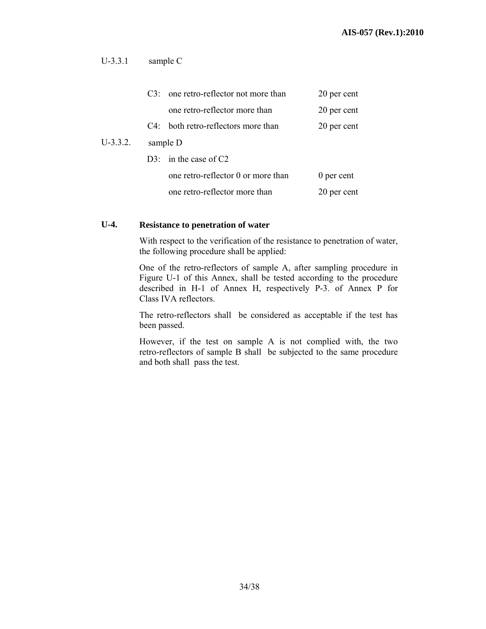## U-3.3.1 sample C

|            |  | C3: one retro-reflector not more than  | 20 per cent |
|------------|--|----------------------------------------|-------------|
|            |  | one retro-reflector more than          | 20 per cent |
|            |  | $C4$ : both retro-reflectors more than | 20 per cent |
| $U-3.3.2.$ |  | sample D                               |             |
|            |  | D3: in the case of $C2$                |             |
|            |  | one retro-reflector 0 or more than     | 0 per cent  |
|            |  | one retro-reflector more than          | 20 per cent |

#### **U-4. Resistance to penetration of water**

With respect to the verification of the resistance to penetration of water, the following procedure shall be applied:

One of the retro-reflectors of sample A, after sampling procedure in Figure U-1 of this Annex, shall be tested according to the procedure described in H-1 of Annex H, respectively P-3. of Annex P for Class IVA reflectors.

The retro-reflectors shall be considered as acceptable if the test has been passed.

However, if the test on sample A is not complied with, the two retro-reflectors of sample B shall be subjected to the same procedure and both shall pass the test.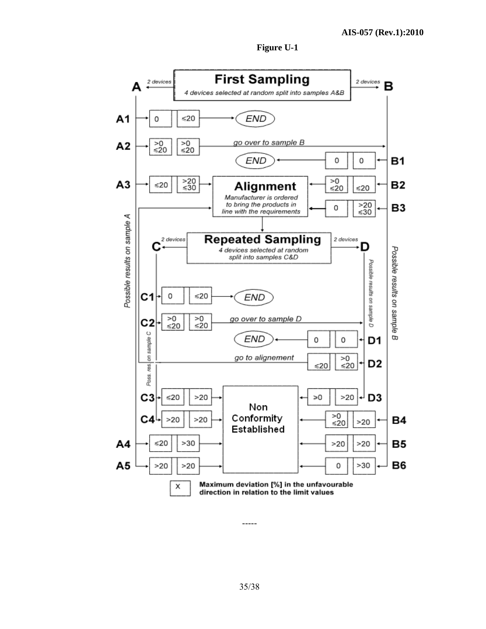



-----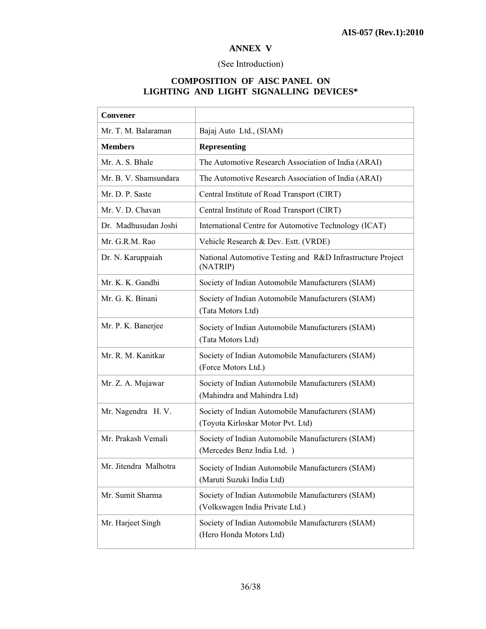#### **ANNEX V**

# (See Introduction)

# **COMPOSITION OF AISC PANEL ON LIGHTING AND LIGHT SIGNALLING DEVICES\***

| Convener              |                                                                                        |
|-----------------------|----------------------------------------------------------------------------------------|
| Mr. T. M. Balaraman   | Bajaj Auto Ltd., (SIAM)                                                                |
| <b>Members</b>        | <b>Representing</b>                                                                    |
| Mr. A. S. Bhale       | The Automotive Research Association of India (ARAI)                                    |
| Mr. B. V. Shamsundara | The Automotive Research Association of India (ARAI)                                    |
| Mr. D. P. Saste       | Central Institute of Road Transport (CIRT)                                             |
| Mr. V. D. Chavan      | Central Institute of Road Transport (CIRT)                                             |
| Dr. Madhusudan Joshi  | International Centre for Automotive Technology (ICAT)                                  |
| Mr. G.R.M. Rao        | Vehicle Research & Dev. Estt. (VRDE)                                                   |
| Dr. N. Karuppaiah     | National Automotive Testing and R&D Infrastructure Project<br>(NATRIP)                 |
| Mr. K. K. Gandhi      | Society of Indian Automobile Manufacturers (SIAM)                                      |
| Mr. G. K. Binani      | Society of Indian Automobile Manufacturers (SIAM)<br>(Tata Motors Ltd)                 |
| Mr. P. K. Banerjee    | Society of Indian Automobile Manufacturers (SIAM)<br>(Tata Motors Ltd)                 |
| Mr. R. M. Kanitkar    | Society of Indian Automobile Manufacturers (SIAM)<br>(Force Motors Ltd.)               |
| Mr. Z. A. Mujawar     | Society of Indian Automobile Manufacturers (SIAM)<br>(Mahindra and Mahindra Ltd)       |
| Mr. Nagendra H.V.     | Society of Indian Automobile Manufacturers (SIAM)<br>(Toyota Kirloskar Motor Pvt. Ltd) |
| Mr. Prakash Vemali    | Society of Indian Automobile Manufacturers (SIAM)<br>(Mercedes Benz India Ltd.)        |
| Mr. Jitendra Malhotra | Society of Indian Automobile Manufacturers (SIAM)<br>(Maruti Suzuki India Ltd)         |
| Mr. Sumit Sharma      | Society of Indian Automobile Manufacturers (SIAM)<br>(Volkswagen India Private Ltd.)   |
| Mr. Harjeet Singh     | Society of Indian Automobile Manufacturers (SIAM)<br>(Hero Honda Motors Ltd)           |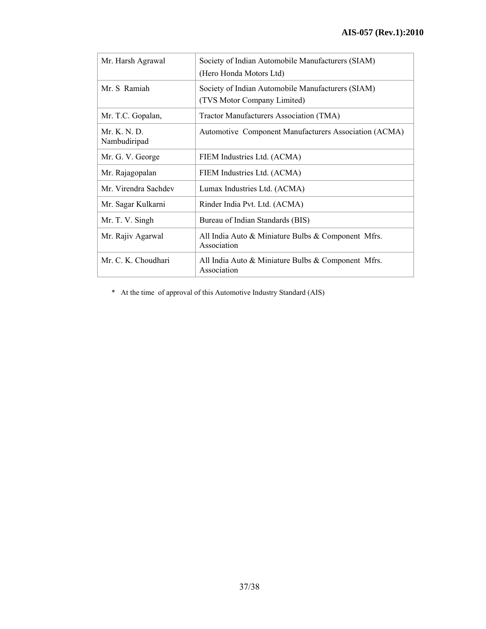| Mr. Harsh Agrawal            | Society of Indian Automobile Manufacturers (SIAM)<br>(Hero Honda Motors Ltd)     |
|------------------------------|----------------------------------------------------------------------------------|
| Mr. S. Ramiah                | Society of Indian Automobile Manufacturers (SIAM)<br>(TVS Motor Company Limited) |
| Mr. T.C. Gopalan,            | Tractor Manufacturers Association (TMA)                                          |
| Mr. K. N. D.<br>Nambudiripad | <b>Automotive Component Manufacturers Association (ACMA)</b>                     |
| Mr. G. V. George             | FIEM Industries Ltd. (ACMA)                                                      |
| Mr. Rajagopalan              | FIEM Industries Ltd. (ACMA)                                                      |
| Mr. Virendra Sachdev         | Lumax Industries Ltd. (ACMA)                                                     |
| Mr. Sagar Kulkarni           | Rinder India Pvt. Ltd. (ACMA)                                                    |
| Mr. T. V. Singh              | Bureau of Indian Standards (BIS)                                                 |
| Mr. Rajiv Agarwal            | All India Auto & Miniature Bulbs & Component Mfrs.<br>Association                |
| Mr. C. K. Choudhari          | All India Auto & Miniature Bulbs & Component Mfrs.<br>Association                |

\* At the time of approval of this Automotive Industry Standard (AIS)